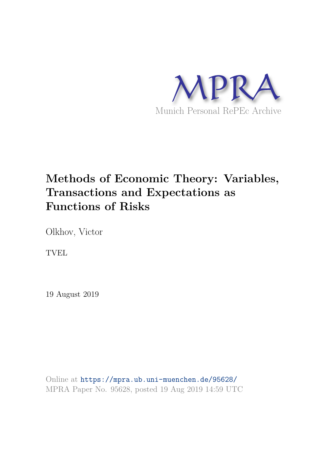

# **Methods of Economic Theory: Variables, Transactions and Expectations as Functions of Risks**

Olkhov, Victor

TVEL

19 August 2019

Online at https://mpra.ub.uni-muenchen.de/95628/ MPRA Paper No. 95628, posted 19 Aug 2019 14:59 UTC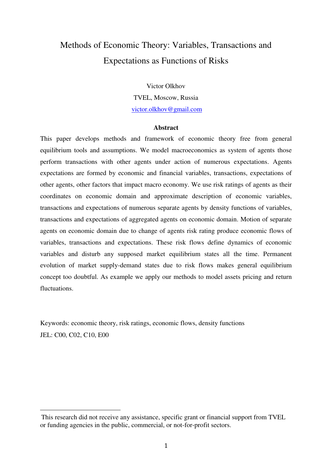## Methods of Economic Theory: Variables, Transactions and Expectations as Functions of Risks

Victor Olkhov TVEL, Moscow, Russia victor.olkhov@gmail.com

### **Abstract**

This paper develops methods and framework of economic theory free from general equilibrium tools and assumptions. We model macroeconomics as system of agents those perform transactions with other agents under action of numerous expectations. Agents expectations are formed by economic and financial variables, transactions, expectations of other agents, other factors that impact macro economy. We use risk ratings of agents as their coordinates on economic domain and approximate description of economic variables, transactions and expectations of numerous separate agents by density functions of variables, transactions and expectations of aggregated agents on economic domain. Motion of separate agents on economic domain due to change of agents risk rating produce economic flows of variables, transactions and expectations. These risk flows define dynamics of economic variables and disturb any supposed market equilibrium states all the time. Permanent evolution of market supply-demand states due to risk flows makes general equilibrium concept too doubtful. As example we apply our methods to model assets pricing and return fluctuations.

Keywords: economic theory, risk ratings, economic flows, density functions JEL: C00, C02, C10, E00

 $\overline{a}$ 

This research did not receive any assistance, specific grant or financial support from TVEL or funding agencies in the public, commercial, or not-for-profit sectors.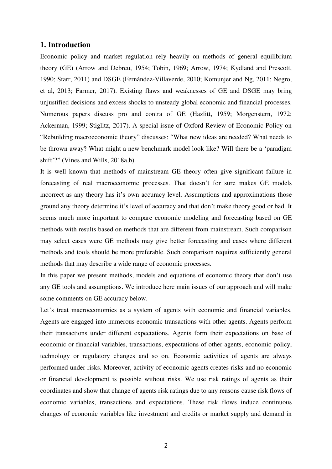### **1. Introduction**

Economic policy and market regulation rely heavily on methods of general equilibrium theory (GE) (Arrow and Debreu, 1954; Tobin, 1969; Arrow, 1974; Kydland and Prescott, 1990; Starr, 2011) and DSGE (Fernández-Villaverde, 2010; Komunjer and Ng, 2011; Negro, et al, 2013; Farmer, 2017). Existing flaws and weaknesses of GE and DSGE may bring unjustified decisions and excess shocks to unsteady global economic and financial processes. Numerous papers discuss pro and contra of GE (Hazlitt, 1959; Morgenstern, 1972; Ackerman, 1999; Stiglitz, 2017). A special issue of Oxford Review of Economic Policy on "Rebuilding macroeconomic theory" discusses: "What new ideas are needed? What needs to be thrown away? What might a new benchmark model look like? Will there be a 'paradigm shift'?" (Vines and Wills, 2018a,b).

It is well known that methods of mainstream GE theory often give significant failure in forecasting of real macroeconomic processes. That doesn't for sure makes GE models incorrect as any theory has it's own accuracy level. Assumptions and approximations those ground any theory determine it's level of accuracy and that don't make theory good or bad. It seems much more important to compare economic modeling and forecasting based on GE methods with results based on methods that are different from mainstream. Such comparison may select cases were GE methods may give better forecasting and cases where different methods and tools should be more preferable. Such comparison requires sufficiently general methods that may describe a wide range of economic processes.

In this paper we present methods, models and equations of economic theory that don't use any GE tools and assumptions. We introduce here main issues of our approach and will make some comments on GE accuracy below.

Let's treat macroeconomics as a system of agents with economic and financial variables. Agents are engaged into numerous economic transactions with other agents. Agents perform their transactions under different expectations. Agents form their expectations on base of economic or financial variables, transactions, expectations of other agents, economic policy, technology or regulatory changes and so on. Economic activities of agents are always performed under risks. Moreover, activity of economic agents creates risks and no economic or financial development is possible without risks. We use risk ratings of agents as their coordinates and show that change of agents risk ratings due to any reasons cause risk flows of economic variables, transactions and expectations. These risk flows induce continuous changes of economic variables like investment and credits or market supply and demand in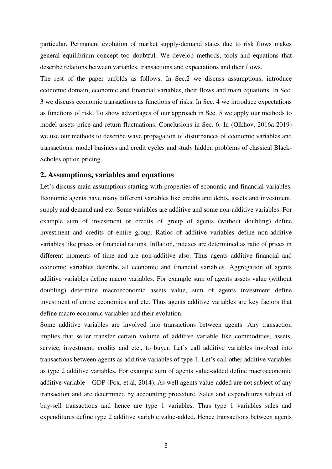particular. Permanent evolution of market supply-demand states due to risk flows makes general equilibrium concept too doubtful. We develop methods, tools and equations that describe relations between variables, transactions and expectations and their flows.

The rest of the paper unfolds as follows. In Sec.2 we discuss assumptions, introduce economic domain, economic and financial variables, their flows and main equations. In Sec. 3 we discuss economic transactions as functions of risks. In Sec. 4 we introduce expectations as functions of risk. To show advantages of our approach in Sec. 5 we apply our methods to model assets price and return fluctuations. Conclusions in Sec. 6. In (Olkhov, 2016a-2019) we use our methods to describe wave propagation of disturbances of economic variables and transactions, model business and credit cycles and study hidden problems of classical Black-Scholes option pricing.

### **2. Assumptions, variables and equations**

Let's discuss main assumptions starting with properties of economic and financial variables. Economic agents have many different variables like credits and debts, assets and investment, supply and demand and etc. Some variables are additive and some non-additive variables. For example sum of investment or credits of group of agents (without doubling) define investment and credits of entire group. Ratios of additive variables define non-additive variables like prices or financial rations. Inflation, indexes are determined as ratio of prices in different moments of time and are non-additive also. Thus agents additive financial and economic variables describe all economic and financial variables. Aggregation of agents additive variables define macro variables. For example sum of agents assets value (without doubling) determine macroeconomic assets value, sum of agents investment define investment of entire economics and etc. Thus agents additive variables are key factors that define macro economic variables and their evolution.

Some additive variables are involved into transactions between agents. Any transaction implies that seller transfer certain volume of additive variable like commodities, assets, service, investment, credits and etc., to buyer. Let's call additive variables involved into transactions between agents as additive variables of type 1. Let's call other additive variables as type 2 additive variables. For example sum of agents value-added define macroeconomic additive variable – GDP (Fox, et al, 2014). As well agents value-added are not subject of any transaction and are determined by accounting procedure. Sales and expenditures subject of buy-sell transactions and hence are type 1 variables. Thus type 1 variables sales and expenditures define type 2 additive variable value-added. Hence transactions between agents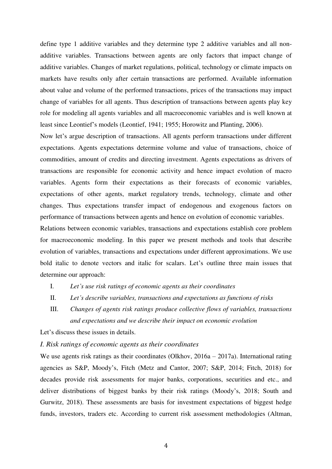define type 1 additive variables and they determine type 2 additive variables and all nonadditive variables. Transactions between agents are only factors that impact change of additive variables. Changes of market regulations, political, technology or climate impacts on markets have results only after certain transactions are performed. Available information about value and volume of the performed transactions, prices of the transactions may impact change of variables for all agents. Thus description of transactions between agents play key role for modeling all agents variables and all macroeconomic variables and is well known at least since Leontief's models (Leontief, 1941; 1955; Horowitz and Planting, 2006).

Now let's argue description of transactions. All agents perform transactions under different expectations. Agents expectations determine volume and value of transactions, choice of commodities, amount of credits and directing investment. Agents expectations as drivers of transactions are responsible for economic activity and hence impact evolution of macro variables. Agents form their expectations as their forecasts of economic variables, expectations of other agents, market regulatory trends, technology, climate and other changes. Thus expectations transfer impact of endogenous and exogenous factors on performance of transactions between agents and hence on evolution of economic variables.

Relations between economic variables, transactions and expectations establish core problem for macroeconomic modeling. In this paper we present methods and tools that describe evolution of variables, transactions and expectations under different approximations. We use bold italic to denote vectors and italic for scalars. Let's outline three main issues that determine our approach:

- I. *Let's use risk ratings of economic agents as their coordinates*
- II. *Let's describe variables, transactions and expectations as functions of risks*
- III. *Changes of agents risk ratings produce collective flows of variables, transactions and expectations and we describe their impact on economic evolution*

Let's discuss these issues in details.

*I. Risk ratings of economic agents as their coordinates* 

We use agents risk ratings as their coordinates (Olkhov, 2016a – 2017a). International rating agencies as S&P, Moody's, Fitch (Metz and Cantor, 2007; S&P, 2014; Fitch, 2018) for decades provide risk assessments for major banks, corporations, securities and etc., and deliver distributions of biggest banks by their risk ratings (Moody's, 2018; South and Gurwitz, 2018). These assessments are basis for investment expectations of biggest hedge funds, investors, traders etc. According to current risk assessment methodologies (Altman,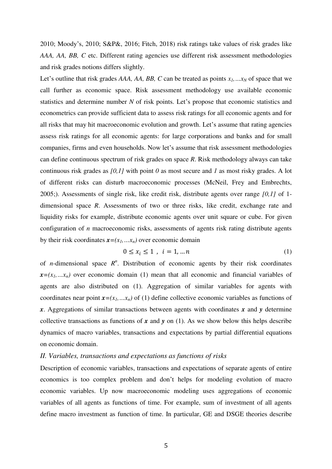2010; Moody's, 2010; S&P&, 2016; Fitch, 2018) risk ratings take values of risk grades like *AAA, AA, BB, C* etc. Different rating agencies use different risk assessment methodologies and risk grades notions differs slightly.

Let's outline that risk grades *AAA, AA, BB, C* can be treated as points  $x_1$ ,  $\ldots$  $x_N$  of space that we call further as economic space. Risk assessment methodology use available economic statistics and determine number *N* of risk points. Let's propose that economic statistics and econometrics can provide sufficient data to assess risk ratings for all economic agents and for all risks that may hit macroeconomic evolution and growth. Let's assume that rating agencies assess risk ratings for all economic agents: for large corporations and banks and for small companies, firms and even households. Now let's assume that risk assessment methodologies can define continuous spectrum of risk grades on space *R*. Risk methodology always can take continuous risk grades as *[0,1]* with point *0* as most secure and *1* as most risky grades. A lot of different risks can disturb macroeconomic processes (McNeil, Frey and Embrechts, 2005;). Assessments of single risk, like credit risk, distribute agents over range *[0,1]* of 1 dimensional space *R*. Assessments of two or three risks, like credit, exchange rate and liquidity risks for example, distribute economic agents over unit square or cube. For given configuration of *n* macroeconomic risks, assessments of agents risk rating distribute agents by their risk coordinates  $x=(x_1, \ldots, x_n)$  over economic domain

$$
0 \le x_i \le 1 \quad i = 1, \dots n \tag{1}
$$

of *n*-dimensional space  $R^n$ . Distribution of economic agents by their risk coordinates  $x=(x_1, \ldots, x_n)$  over economic domain (1) mean that all economic and financial variables of agents are also distributed on (1). Aggregation of similar variables for agents with coordinates near point  $x=(x_1, \ldots, x_n)$  of (1) define collective economic variables as functions of *x*. Aggregations of similar transactions between agents with coordinates *x* and *y* determine collective transactions as functions of  $x$  and  $y$  on (1). As we show below this helps describe dynamics of macro variables, transactions and expectations by partial differential equations on economic domain.

### *II. Variables, transactions and expectations as functions of risks*

Description of economic variables, transactions and expectations of separate agents of entire economics is too complex problem and don't helps for modeling evolution of macro economic variables. Up now macroeconomic modeling uses aggregations of economic variables of all agents as functions of time. For example, sum of investment of all agents define macro investment as function of time. In particular, GE and DSGE theories describe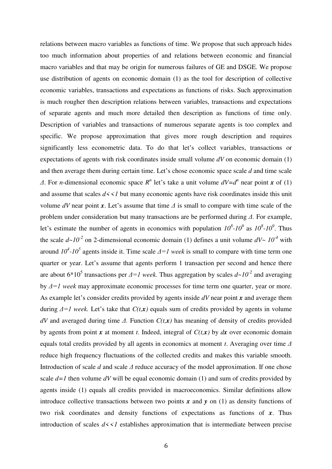relations between macro variables as functions of time. We propose that such approach hides too much information about properties of and relations between economic and financial macro variables and that may be origin for numerous failures of GE and DSGE. We propose use distribution of agents on economic domain (1) as the tool for description of collective economic variables, transactions and expectations as functions of risks. Such approximation is much rougher then description relations between variables, transactions and expectations of separate agents and much more detailed then description as functions of time only. Description of variables and transactions of numerous separate agents is too complex and specific. We propose approximation that gives more rough description and requires significantly less econometric data. To do that let's collect variables, transactions or expectations of agents with risk coordinates inside small volume *dV* on economic domain (1) and then average them during certain time. Let's chose economic space scale *d* and time scale *Δ*. For *n*-dimensional economic space  $R^n$  let's take a unit volume  $dV = d^n$  near point *x* of (1) and assume that scales  $d \lt \lt l$  but many economic agents have risk coordinates inside this unit volume *dV* near point *x*. Let's assume that time *Δ* is small to compare with time scale of the problem under consideration but many transactions are be performed during *Δ.* For example, let's estimate the number of agents in economics with population  $10^8$ - $10^9$  as  $10^8$ - $10^9$ . Thus the scale  $d \sim 10^{-2}$  on 2-dimensional economic domain (1) defines a unit volume  $dV \sim 10^{-4}$  with around *10<sup>4</sup> -10<sup>5</sup>* agents inside it. Time scale *Δ=1 week* is small to compare with time term one quarter or year. Let's assume that agents perform 1 transaction per second and hence there are about  $6*10^5$  transactions per  $\Delta = I$  *week*. Thus aggregation by scales  $d \sim I0^{-2}$  and averaging by *Δ=1 week* may approximate economic processes for time term one quarter, year or more. As example let's consider credits provided by agents inside *dV* near point *x* and average them during  $\Delta = I$  week. Let's take that  $C(t, x)$  equals sum of credits provided by agents in volume *dV* and averaged during time *Δ.* Function *C(t,x)* has meaning of density of credits provided by agents from point *x* at moment *t*. Indeed, integral of  $C(t,x)$  by  $dx$  over economic domain equals total credits provided by all agents in economics at moment *t*. Averaging over time *Δ* reduce high frequency fluctuations of the collected credits and makes this variable smooth. Introduction of scale *d* and scale *Δ* reduce accuracy of the model approximation. If one chose scale  $d=1$  then volume  $dV$  will be equal economic domain (1) and sum of credits provided by agents inside (1) equals all credits provided in macroeconomics. Similar definitions allow introduce collective transactions between two points  $x$  and  $y$  on (1) as density functions of two risk coordinates and density functions of expectations as functions of *x*. Thus introduction of scales  $d \leq l$  establishes approximation that is intermediate between precise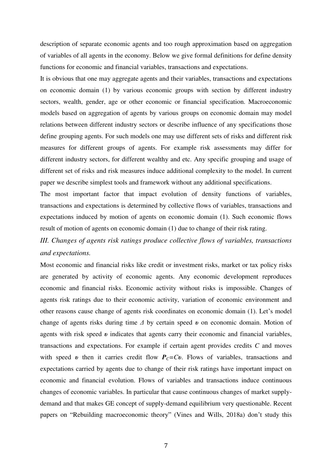description of separate economic agents and too rough approximation based on aggregation of variables of all agents in the economy. Below we give formal definitions for define density functions for economic and financial variables, transactions and expectations.

It is obvious that one may aggregate agents and their variables, transactions and expectations on economic domain (1) by various economic groups with section by different industry sectors, wealth, gender, age or other economic or financial specification. Macroeconomic models based on aggregation of agents by various groups on economic domain may model relations between different industry sectors or describe influence of any specifications those define grouping agents. For such models one may use different sets of risks and different risk measures for different groups of agents. For example risk assessments may differ for different industry sectors, for different wealthy and etc. Any specific grouping and usage of different set of risks and risk measures induce additional complexity to the model. In current paper we describe simplest tools and framework without any additional specifications.

The most important factor that impact evolution of density functions of variables, transactions and expectations is determined by collective flows of variables, transactions and expectations induced by motion of agents on economic domain (1). Such economic flows result of motion of agents on economic domain (1) due to change of their risk rating.

### *III. Changes of agents risk ratings produce collective flows of variables, transactions and expectations.*

Most economic and financial risks like credit or investment risks, market or tax policy risks are generated by activity of economic agents. Any economic development reproduces economic and financial risks. Economic activity without risks is impossible. Changes of agents risk ratings due to their economic activity, variation of economic environment and other reasons cause change of agents risk coordinates on economic domain (1). Let's model change of agents risks during time *Δ* by certain speed *υ* on economic domain. Motion of agents with risk speed *υ* indicates that agents carry their economic and financial variables, transactions and expectations. For example if certain agent provides credits *C* and moves with speed *v* then it carries credit flow  $P<sub>C</sub>=Cv$ . Flows of variables, transactions and expectations carried by agents due to change of their risk ratings have important impact on economic and financial evolution. Flows of variables and transactions induce continuous changes of economic variables. In particular that cause continuous changes of market supplydemand and that makes GE concept of supply-demand equilibrium very questionable. Recent papers on "Rebuilding macroeconomic theory" (Vines and Wills, 2018a) don't study this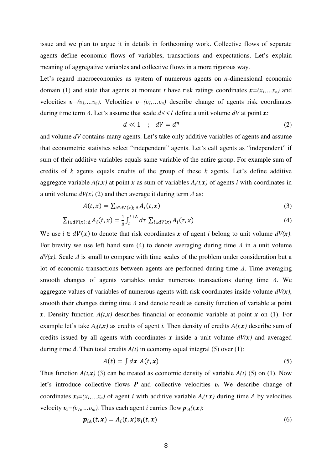issue and we plan to argue it in details in forthcoming work. Collective flows of separate agents define economic flows of variables, transactions and expectations. Let's explain meaning of aggregative variables and collective flows in a more rigorous way.

Let's regard macroeconomics as system of numerous agents on *n*-dimensional economic domain (1) and state that agents at moment *t* have risk ratings coordinates  $x=(x_1, \ldots, x_n)$  and velocities  $v = (v_1, \ldots, v_n)$ . Velocities  $v = (v_1, \ldots, v_n)$  describe change of agents risk coordinates during time term *Δ*. Let's assume that scale *d<<1* define a unit volume *dV* at point *x:*

$$
d \ll 1 \quad ; \quad dV = d^n \tag{2}
$$

and volume *dV* contains many agents. Let's take only additive variables of agents and assume that econometric statistics select "independent" agents. Let's call agents as "independent" if sum of their additive variables equals same variable of the entire group. For example sum of credits of *k* agents equals credits of the group of these *k* agents. Let's define additive aggregate variable  $A(t, x)$  at point x as sum of variables  $A_i(t, x)$  of agents *i* with coordinates in a unit volume  $dV(x)$  (2) and then average it during term  $\Delta$  as:

$$
A(t,x) = \sum_{i \in dV(x); \Delta} A_i(t,x) \tag{3}
$$

$$
\sum_{i \in dV(x); \Delta} A_i(t, x) = \frac{1}{\Delta} \int_t^{t + \Delta} d\tau \ \sum_{i \in dV(x)} A_i(\tau, x)
$$
\n<sup>(4)</sup>

We use  $i \in dV(x)$  to denote that risk coordinates x of agent *i* belong to unit volume  $dV(x)$ . For brevity we use left hand sum (4) to denote averaging during time *Δ* in a unit volume  $dV(x)$ . Scale  $\Delta$  is small to compare with time scales of the problem under consideration but a lot of economic transactions between agents are performed during time *Δ*. Time averaging smooth changes of agents variables under numerous transactions during time *Δ*. We aggregate values of variables of numerous agents with risk coordinates inside volume *dV(x)*, smooth their changes during time *Δ* and denote result as density function of variable at point *x*. Density function  $A(t, x)$  describes financial or economic variable at point *x* on (1). For example let's take  $A_i(t, x)$  as credits of agent *i*. Then density of credits  $A(t, x)$  describe sum of credits issued by all agents with coordinates  $x$  inside a unit volume  $dV(x)$  and averaged during time *Δ.* Then total credits *A(t)* in economy equal integral (5) over (1):

$$
A(t) = \int dx \; A(t, x) \tag{5}
$$

Thus function  $A(t, x)$  (3) can be treated as economic density of variable  $A(t)$  (5) on (1). Now let's introduce collective flows *P* and collective velocities *υ.* We describe change of coordinates  $x_i = (x_1, \ldots, x_n)$  of agent *i* with additive variable  $A_i(t, x)$  during time  $\Delta$  by velocities velocity  $v_i = (v_{1i}, \ldots v_{ni})$ . Thus each agent *i* carries flow  $p_{iA}(t, x)$ :

$$
\boldsymbol{p}_{iA}(t,\boldsymbol{x}) = A_i(t,\boldsymbol{x})\boldsymbol{v}_i(t,\boldsymbol{x})
$$
\n(6)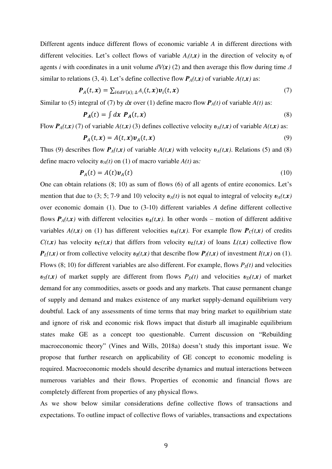Different agents induce different flows of economic variable *A* in different directions with different velocities. Let's collect flows of variable *Ai(t,x)* in the direction of velocity *υ<sup>i</sup>* of agents *i* with coordinates in a unit volume *dV(x)* (2) and then average this flow during time *Δ* similar to relations (3, 4). Let's define collective flow  $P_A(t, x)$  of variable  $A(t, x)$  as:

$$
\boldsymbol{P}_A(t,\boldsymbol{x}) = \sum_{i \in dV(\boldsymbol{x}); \Delta} A_i(t,\boldsymbol{x}) \boldsymbol{v}_i(t,\boldsymbol{x}) \tag{7}
$$

Similar to (5) integral of (7) by  $dx$  over (1) define macro flow  $P_A(t)$  of variable  $A(t)$  as:

$$
P_A(t) = \int dx P_A(t, x) \tag{8}
$$

Flow  $P_A(t, x)$  (7) of variable  $A(t, x)$  (3) defines collective velocity  $v_A(t, x)$  of variable  $A(t, x)$  as:

$$
\boldsymbol{P}_A(t,\boldsymbol{x}) = A(t,\boldsymbol{x})\boldsymbol{v}_A(t,\boldsymbol{x})\tag{9}
$$

Thus (9) describes flow  $P_A(t,x)$  of variable  $A(t,x)$  with velocity  $v_A(t,x)$ . Relations (5) and (8) define macro velocity  $v_A(t)$  on (1) of macro variable  $A(t)$  as:

$$
\boldsymbol{P}_A(t) = A(t)\boldsymbol{v}_A(t) \tag{10}
$$

One can obtain relations (8; 10) as sum of flows (6) of all agents of entire economics. Let's mention that due to (3; 5; 7-9 and 10) velocity  $v_A(t)$  is not equal to integral of velocity  $v_A(t,x)$ over economic domain (1). Due to (3-10) different variables *A* define different collective flows  $P_A(t, x)$  with different velocities  $v_A(t, x)$ . In other words – motion of different additive variables  $A(t, x)$  on (1) has different velocities  $v_A(t, x)$ . For example flow  $P_C(t, x)$  of credits *C*(*t,x*) has velocity *υ*<sub>*C*</sub>(*t,x*) that differs from velocity *υ*<sub>*L*</sub>(*t,x*) of loans *L*(*t,x*) collective flow  $P_L(t,x)$  or from collective velocity  $v_I(t,x)$  that describe flow  $P_I(t,x)$  of investment  $I(t,x)$  on (1). Flows (8; 10) for different variables are also different. For example, flows  $P_S(t)$  and velocities  $v_S(t, x)$  of market supply are different from flows  $P_D(t)$  and velocities  $v_D(t, x)$  of market demand for any commodities, assets or goods and any markets. That cause permanent change of supply and demand and makes existence of any market supply-demand equilibrium very doubtful. Lack of any assessments of time terms that may bring market to equilibrium state and ignore of risk and economic risk flows impact that disturb all imaginable equilibrium states make GE as a concept too questionable. Current discussion on "Rebuilding macroeconomic theory" (Vines and Wills, 2018a) doesn't study this important issue. We propose that further research on applicability of GE concept to economic modeling is required. Macroeconomic models should describe dynamics and mutual interactions between numerous variables and their flows. Properties of economic and financial flows are completely different from properties of any physical flows.

As we show below similar considerations define collective flows of transactions and expectations. To outline impact of collective flows of variables, transactions and expectations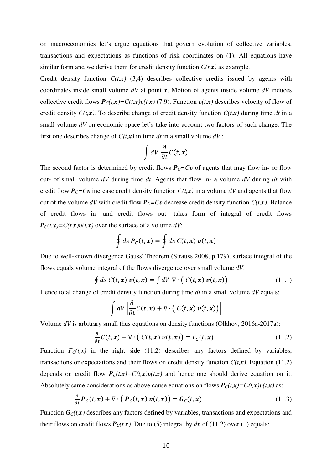on macroeconomics let's argue equations that govern evolution of collective variables, transactions and expectations as functions of risk coordinates on (1). All equations have similar form and we derive them for credit density function  $C(t, x)$  as example.

Credit density function  $C(t,x)$  (3,4) describes collective credits issued by agents with coordinates inside small volume *dV* at point *x*. Motion of agents inside volume *dV* induces collective credit flows  $P_C(t, x) = C(t, x)v(t, x)$  (7,9). Function  $v(t, x)$  describes velocity of flow of credit density  $C(t, x)$ . To describe change of credit density function  $C(t, x)$  during time *dt* in a small volume *dV* on economic space let's take into account two factors of such change. The first one describes change of *С(t,x)* in time *dt* in a small volume *dV* :

$$
\int dV \, \frac{\partial}{\partial t} C(t, x)
$$

The second factor is determined by credit flows  $P_C = Cv$  of agents that may flow in- or flow out- of small volume *dV* during time *dt*. Agents that flow in- a volume *dV* during *dt* with credit flow  $P_C = Cv$  increase credit density function  $C(t, x)$  in a volume *dV* and agents that flow out of the volume *dV* with credit flow  $P_C = Cv$  decrease credit density function  $C(t, x)$ . Balance of credit flows in- and credit flows out- takes form of integral of credit flows  $P_c(t, x) = C(t, x)v(t, x)$  over the surface of a volume *dV*:

$$
\oint ds \, \mathbf{P}_c(t,x) = \oint ds \, C(t,x) \, \mathbf{v}(t,x)
$$

Due to well-known divergence Gauss' Theorem (Strauss 2008, p.179), surface integral of the flows equals volume integral of the flows divergence over small volume *dV*:

$$
\oint ds C(t, x) \nu(t, x) = \int dV \nabla \cdot (C(t, x) \nu(t, x)) \tag{11.1}
$$

Hence total change of credit density function during time *dt* in a small volume *dV* equals:

$$
\int dV \left[ \frac{\partial}{\partial t} C(t, x) + \nabla \cdot \left( C(t, x) v(t, x) \right) \right]
$$

Volume *dV* is arbitrary small thus equations on density functions (Olkhov, 2016a-2017a):

$$
\frac{\partial}{\partial t} C(t, x) + \nabla \cdot (C(t, x) \nu(t, x)) = F_C(t, x)
$$
\n(11.2)

Function  $F_c(t, x)$  in the right side (11.2) describes any factors defined by variables, transactions or expectations and their flows on credit density function  $C(t,x)$ . Equation (11.2) depends on credit flow  $P_C(t, x) = C(t, x)v(t, x)$  and hence one should derive equation on it. Absolutely same considerations as above cause equations on flows  $P_c(t,x) = C(t,x)v(t,x)$  as:

$$
\frac{\partial}{\partial t} \boldsymbol{P}_C(t, x) + \nabla \cdot \left( \boldsymbol{P}_C(t, x) \, \boldsymbol{v}(t, x) \right) = \boldsymbol{G}_C(t, x) \tag{11.3}
$$

Function  $G_C(t, x)$  describes any factors defined by variables, transactions and expectations and their flows on credit flows  $P_C(t, x)$ . Due to (5) integral by *dx* of (11.2) over (1) equals: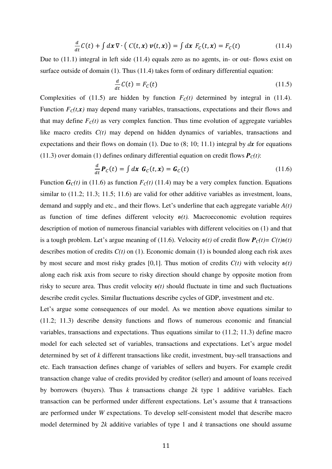$$
\frac{d}{dt}C(t) + \int dx \,\nabla \cdot \left( C(t, x) \, \nu(t, x) \right) = \int dx \, F_C(t, x) = F_C(t) \tag{11.4}
$$

Due to (11.1) integral in left side (11.4) equals zero as no agents, in- or out- flows exist on surface outside of domain (1). Thus (11.4) takes form of ordinary differential equation:

$$
\frac{d}{dt}C(t) = F_C(t) \tag{11.5}
$$

Complexities of (11.5) are hidden by function  $F_c(t)$  determined by integral in (11.4). Function  $F_C(t, x)$  may depend many variables, transactions, expectations and their flows and that may define  $F_C(t)$  as very complex function. Thus time evolution of aggregate variables like macro credits  $C(t)$  may depend on hidden dynamics of variables, transactions and expectations and their flows on domain (1). Due to (8; 10; 11.1) integral by *dx* for equations (11.3) over domain (1) defines ordinary differential equation on credit flows  $P_C(t)$ :

$$
\frac{d}{dt}\boldsymbol{P}_C(t) = \int d\boldsymbol{x} \; \boldsymbol{G}_C(t,\boldsymbol{x}) = \boldsymbol{G}_C(t) \tag{11.6}
$$

Function  $G_C(t)$  in (11.6) as function  $F_C(t)$  (11.4) may be a very complex function. Equations similar to  $(11.2; 11.3; 11.5; 11.6)$  are valid for other additive variables as investment, loans, demand and supply and etc., and their flows. Let's underline that each aggregate variable *A(t)* as function of time defines different velocity *υ(t).* Macroeconomic evolution requires description of motion of numerous financial variables with different velocities on (1) and that is a tough problem. Let's argue meaning of (11.6). Velocity  $v(t)$  of credit flow  $P_c(t) = C(t)v(t)$ describes motion of credits  $C(t)$  on (1). Economic domain (1) is bounded along each risk axes by most secure and most risky grades [0,1]. Thus motion of credits *C(t)* with velocity *υ(t)* along each risk axis from secure to risky direction should change by opposite motion from risky to secure area. Thus credit velocity *υ(t)* should fluctuate in time and such fluctuations describe credit cycles. Similar fluctuations describe cycles of GDP, investment and etc.

Let's argue some consequences of our model. As we mention above equations similar to (11.2; 11.3) describe density functions and flows of numerous economic and financial variables, transactions and expectations. Thus equations similar to (11.2; 11.3) define macro model for each selected set of variables, transactions and expectations. Let's argue model determined by set of *k* different transactions like credit, investment, buy-sell transactions and etc. Each transaction defines change of variables of sellers and buyers. For example credit transaction change value of credits provided by creditor (seller) and amount of loans received by borrowers (buyers). Thus *k* transactions change *2k* type 1 additive variables. Each transaction can be performed under different expectations. Let's assume that *k* transactions are performed under *W* expectations. To develop self-consistent model that describe macro model determined by *2k* additive variables of type 1 and *k* transactions one should assume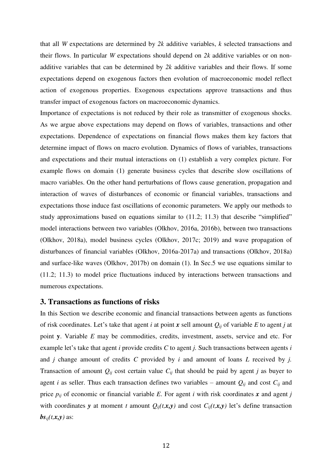that all *W* expectations are determined by *2k* additive variables, *k* selected transactions and their flows. In particular *W* expectations should depend on *2k* additive variables or on nonadditive variables that can be determined by *2k* additive variables and their flows. If some expectations depend on exogenous factors then evolution of macroeconomic model reflect action of exogenous properties. Exogenous expectations approve transactions and thus transfer impact of exogenous factors on macroeconomic dynamics.

Importance of expectations is not reduced by their role as transmitter of exogenous shocks. As we argue above expectations may depend on flows of variables, transactions and other expectations. Dependence of expectations on financial flows makes them key factors that determine impact of flows on macro evolution. Dynamics of flows of variables, transactions and expectations and their mutual interactions on (1) establish a very complex picture. For example flows on domain (1) generate business cycles that describe slow oscillations of macro variables. On the other hand perturbations of flows cause generation, propagation and interaction of waves of disturbances of economic or financial variables, transactions and expectations those induce fast oscillations of economic parameters. We apply our methods to study approximations based on equations similar to (11.2; 11.3) that describe "simplified" model interactions between two variables (Olkhov, 2016a, 2016b), between two transactions (Olkhov, 2018a), model business cycles (Olkhov, 2017c; 2019) and wave propagation of disturbances of financial variables (Olkhov, 2016a-2017a) and transactions (Olkhov, 2018a) and surface-like waves (Olkhov, 2017b) on domain (1). In Sec.5 we use equations similar to (11.2; 11.3) to model price fluctuations induced by interactions between transactions and numerous expectations.

### **3. Transactions as functions of risks**

In this Section we describe economic and financial transactions between agents as functions of risk coordinates. Let's take that agent *i* at point *x* sell amount *Qij* of variable *E* to agent *j* at point **y**. Variable *E* may be commodities, credits, investment, assets, service and etc. For example let's take that agent *i* provide credits *C* to agent *j.* Such transactions between agents *i* and *j* change amount of credits *C* provided by *i* and amount of loans *L* received by *j.*  Transaction of amount  $Q_{ij}$  cost certain value  $C_{ij}$  that should be paid by agent *j* as buyer to agent *i* as seller. Thus each transaction defines two variables – amount  $Q_{ij}$  and cost  $C_{ij}$  and price  $p_{ij}$  of economic or financial variable *E*. For agent *i* with risk coordinates *x* and agent *j* with coordinates *y* at moment *t* amount  $Q_{ij}(t,x,y)$  and cost  $C_{ij}(t,x,y)$  let's define transaction  $\mathbf{b}$ *s*<sub>*ij*</sub> $(t, x, y)$  as: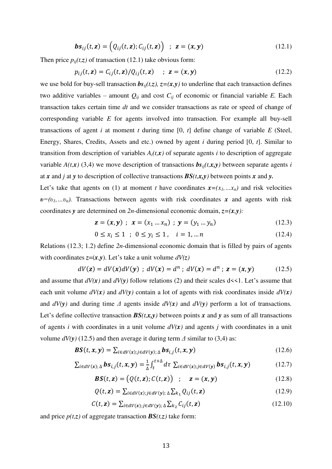$$
\boldsymbol{b}\boldsymbol{s}_{ij}(t,\mathbf{z}) = (Q_{ij}(t,\mathbf{z});C_{ij}(t,\mathbf{z})) \hspace{0.2cm} ; \hspace{0.2cm} \mathbf{z} = (\mathbf{x},\mathbf{y}) \hspace{1cm} (12.1)
$$

Then price  $p_{ij}(t,z)$  of transaction (12.1) take obvious form:

$$
p_{ij}(t, \mathbf{z}) = C_{ij}(t, \mathbf{z}) / Q_{ij}(t, \mathbf{z}) \quad ; \quad \mathbf{z} = (\mathbf{x}, \mathbf{y}) \tag{12.2}
$$

we use bold for buy-sell transaction  $bs_{ij}(t,z)$ ,  $z=(x,y)$  to underline that each transaction defines two additive variables – amount  $Q_{ij}$  and cost  $C_{ij}$  of economic or financial variable *E*. Each transaction takes certain time *dt* and we consider transactions as rate or speed of change of corresponding variable *E* for agents involved into transaction. For example all buy-sell transactions of agent *i* at moment *t* during time [0, *t*] define change of variable *E* (Steel, Energy, Shares, Credits, Assets and etc.) owned by agent *i* during period [0, *t*]. Similar to transition from description of variables  $A_i(t, x)$  of separate agents *i* to description of aggregate variable  $A(t, x)$  (3,4) we move description of transactions  $b s_{ii}(t, x, y)$  between separate agents *i* at *x* and *j* at *y* to description of collective transactions *BS(t,x,y)* between points *x* and *y.*

Let's take that agents on (1) at moment *t* have coordinates  $x=(x_1, \ldots, x_n)$  and risk velocities  $v=(v_1,...v_n)$ . Transactions between agents with risk coordinates *x* and agents with risk coordinates *y* are determined on 2*n*-dimensional economic domain,  $z=(x, y)$ :

$$
\mathbf{z} = (\mathbf{x}, \mathbf{y}) \; ; \; \mathbf{x} = (x_1 \dots x_n) \; ; \; \mathbf{y} = (y_1 \dots y_n) \tag{12.3}
$$

$$
0 \le x_i \le 1 \quad ; \quad 0 \le y_i \le 1 \quad , \quad i = 1, \dots n \tag{12.4}
$$

Relations (12.3; 1.2) define *2n*-dimensional economic domain that is filled by pairs of agents with coordinates  $z=(x,y)$ . Let's take a unit volume  $dV(z)$ 

$$
dV(z) = dV(x) dV(y) \; ; \; dV(x) = d^n \; ; \; dV(x) = d^n \; ; \; z = (x, y) \tag{12.5}
$$

and assume that  $dV(x)$  and  $dV(y)$  follow relations (2) and their scales  $d \lt 1$ . Let's assume that each unit volume  $dV(x)$  and  $dV(y)$  contain a lot of agents with risk coordinates inside  $dV(x)$ and  $dV(y)$  and during time  $\Delta$  agents inside  $dV(x)$  and  $dV(y)$  perform a lot of transactions. Let's define collective transaction  $BS(t, x, y)$  between points x and y as sum of all transactions of agents *i* with coordinates in a unit volume *dV(x)* and agents *j* with coordinates in a unit volume  $dV(y)$  (12.5) and then average it during term  $\Delta$  similar to (3,4) as:

$$
\boldsymbol{BS}(t, \boldsymbol{x}, \boldsymbol{y}) = \sum_{i \in dV(\boldsymbol{x}); j \in dV(\boldsymbol{y}); \Delta} \boldsymbol{bs}_{i,j}(t, \boldsymbol{x}, \boldsymbol{y})
$$
(12.6)

$$
\sum_{i \in dV(x); \Delta} \mathbf{b} s_{i,j}(t, x, y) = \frac{1}{\Delta} \int_{t}^{t + \Delta} d\tau \ \sum_{i \in dV(x); j \in dV(y)} \mathbf{b} s_{i,j}(t, x, y) \tag{12.7}
$$

$$
\boldsymbol{BS}(t, \mathbf{z}) = (Q(t, \mathbf{z}); C(t, \mathbf{z})) \quad ; \quad \mathbf{z} = (\mathbf{x}, \mathbf{y}) \tag{12.8}
$$

$$
Q(t, \mathbf{z}) = \sum_{i \in dV(\mathbf{x}); j \in dV(\mathbf{y}); \Delta} \sum_{k_1} Q_{ij}(t, \mathbf{z})
$$
\n(12.9)

$$
C(t, \mathbf{z}) = \sum_{i \in dV(\mathbf{x}); j \in dV(\mathbf{y}); \Delta} \sum_{k_2} C_{ij}(t, \mathbf{z})
$$
\n(12.10)

and price  $p(t,z)$  of aggregate transaction  $BS(t,z)$  take form: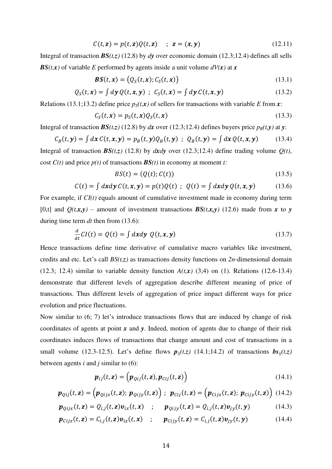$$
C(t, z) = p(t, z)Q(t, z) \quad ; \quad z = (x, y) \tag{12.11}
$$

Integral of transaction  $BS(t, z)$  (12.8) by *dy* over economic domain (12.3;12.4) defines all sells *BS*(*t,x*) of variable *E* performed by agents inside a unit volume  $dV(x)$  at *x* 

$$
\boldsymbol{BS}(t,\boldsymbol{x}) = (Q_S(t,\boldsymbol{x}); C_S(t,\boldsymbol{x})) \tag{13.1}
$$

$$
Q_S(t, x) = \int d\mathbf{y} \, Q(t, x, y) \; ; \; C_S(t, x) = \int d\mathbf{y} \, C(t, x, y) \tag{13.2}
$$

Relations (13.1;13.2) define price  $p_S(t, x)$  of sellers for transactions with variable *E* from *x*:

$$
C_S(t, x) = p_S(t, x)Q_S(t, x) \tag{13.3}
$$

Integral of transaction  $BS(t,z)$  (12.8) by *dx* over (12.3;12.4) defines buyers price  $p_B(t,y)$  at *y*:

$$
C_B(t, \mathbf{y}) = \int dx \, C(t, \mathbf{x}, \mathbf{y}) = p_B(t, \mathbf{y}) Q_B(t, \mathbf{y}) \, ; \, Q_B(t, \mathbf{y}) = \int dx \, Q(t, \mathbf{x}, \mathbf{y}) \tag{13.4}
$$

Integral of transaction  $BS(t,z)$  (12.8) by *dxdy* over (12.3;12.4) define trading volume  $Q(t)$ , cost *C(t)* and price *p(t)* of transactions *BS(t)* in economy at moment *t:*

$$
BS(t) = (Q(t); C(t))
$$
\n<sup>(13.5)</sup>

$$
C(t) = \int dx dy C(t, x, y) = p(t)Q(t) ; Q(t) = \int dx dy Q(t, x, y)
$$
 (13.6)

For example, if  $CI(t)$  equals amount of cumulative investment made in economy during term [0,t] and  $Q(t,x,y)$  – amount of investment transactions  $BS(t,x,y)$  (12.6) made from *x* to *y* during time term *dt* then from (13.6):

$$
\frac{d}{dt}CI(t) = Q(t) = \int dx dy \ Q(t, x, y)
$$
\n(13.7)

Hence transactions define time derivative of cumulative macro variables like investment, credits and etc. Let's call *BS(t,z)* as transactions density functions on *2n*-dimensional domain (12.3; 12.4) similar to variable density function  $A(t, x)$  (3;4) on (1). Relations (12.6-13.4) demonstrate that different levels of aggregation describe different meaning of price of transactions. Thus different levels of aggregation of price impact different ways for price evolution and price fluctuations.

Now similar to (6; 7) let's introduce transactions flows that are induced by change of risk coordinates of agents at point *x* and *y*. Indeed, motion of agents due to change of their risk coordinates induces flows of transactions that change amount and cost of transactions in a small volume (12.3-12.5). Let's define flows  $p_{ij}(t,z)$  (14.1;14.2) of transactions  $bs_{ij}(t,z)$ between agents *i* and *j* similar to (6):

$$
\boldsymbol{p}_{ij}(t,\mathbf{z}) = \left(\boldsymbol{p}_{Qij}(t,\mathbf{z}), \boldsymbol{p}_{Cij}(t,\mathbf{z})\right) \tag{14.1}
$$

$$
\boldsymbol{p}_{Qij}(t,\mathbf{z}) = \left(\boldsymbol{p}_{Qijx}(t,\mathbf{z});\ \boldsymbol{p}_{Qijy}(t,\mathbf{z})\right);\ \boldsymbol{p}_{Cij}(t,\mathbf{z}) = \left(\boldsymbol{p}_{Cijx}(t,\mathbf{z});\ \boldsymbol{p}_{Cijy}(t,\mathbf{z})\right) (14.2)
$$

$$
\boldsymbol{p}_{Qijx}(t,\mathbf{z}) = Q_{i,j}(t,\mathbf{z})\boldsymbol{v}_{ix}(t,\mathbf{x}) \quad ; \quad \boldsymbol{p}_{Qijy}(t,\mathbf{z}) = Q_{i,j}(t,\mathbf{z})\boldsymbol{v}_{jy}(t,\mathbf{y}) \tag{14.3}
$$

$$
\boldsymbol{p}_{\text{Cij}x}(t,\mathbf{z}) = C_{i,j}(t,\mathbf{z})\boldsymbol{v}_{ix}(t,\mathbf{x}) \quad ; \quad \boldsymbol{p}_{\text{Cij}y}(t,\mathbf{z}) = C_{i,j}(t,\mathbf{z})\boldsymbol{v}_{jy}(t,\mathbf{y}) \tag{14.4}
$$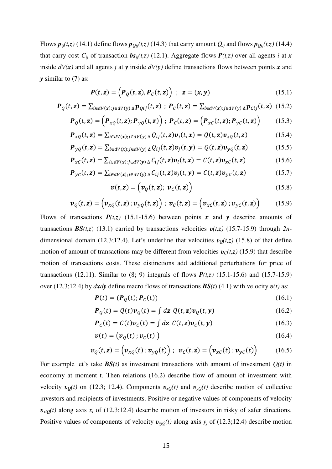Flows  $p_{ij}(t,z)$  (14.1) define flows  $p_{Qij}(t,z)$  (14.3) that carry amount  $Q_{ij}$  and flows  $p_{Qij}(t,z)$  (14.4) that carry cost  $C_{ij}$  of transaction  $bs_{ij}(t,z)$  (12.1). Aggregate flows  $P(t,z)$  over all agents *i* at *x* inside *dV(x)* and all agents *j* at *y* inside *dV(y)* define transactions flows between points *x* and *y* similar to (7) as:

$$
\boldsymbol{P}(t,\mathbf{z}) = \left(\boldsymbol{P}_Q(t,\mathbf{z}),\boldsymbol{P}_C(t,\mathbf{z})\right) \ ; \ \ \mathbf{z} = (\mathbf{x},\mathbf{y}) \tag{15.1}
$$

$$
\boldsymbol{P}_Q(t,\mathbf{z}) = \sum_{i \in dV(\mathbf{x}); j \in dV(\mathbf{y})} \Delta \boldsymbol{p}_{Qij}(t,\mathbf{z}) \; ; \; \boldsymbol{P}_C(t,\mathbf{z}) = \sum_{i \in dV(\mathbf{x}); j \in dV(\mathbf{y})} \Delta \boldsymbol{p}_{Cij}(t,\mathbf{z}) \; (15.2)
$$

$$
\boldsymbol{P}_Q(t,\mathbf{z}) = \left(\boldsymbol{P}_{xQ}(t,\mathbf{z});\boldsymbol{P}_{yQ}(t,\mathbf{z})\right); \ \boldsymbol{P}_C(t,\mathbf{z}) = \left(\boldsymbol{P}_{xC}(t,\mathbf{z});\boldsymbol{P}_{yC}(t,\mathbf{z})\right) \tag{15.3}
$$

$$
\boldsymbol{P}_{xQ}(t,\mathbf{z}) = \sum_{i \in dV(\mathbf{x}); j \in dV(\mathbf{y})} \Delta Q_{ij}(t,\mathbf{z}) \boldsymbol{v}_i(t,\mathbf{x}) = Q(t,\mathbf{z}) \boldsymbol{v}_{xQ}(t,\mathbf{z}) \tag{15.4}
$$

$$
\boldsymbol{P}_{yQ}(t,\mathbf{z}) = \sum_{i \in dV(\mathbf{x}); j \in dV(\mathbf{y})} \Delta Q_{ij}(t,\mathbf{z}) \boldsymbol{v}_j(t,\mathbf{y}) = Q(t,\mathbf{z}) \boldsymbol{v}_{yQ}(t,\mathbf{z}) \tag{15.5}
$$

$$
\boldsymbol{P}_{\scriptscriptstyle{XC}}(t,\mathbf{z}) = \sum_{i \in dV(\mathbf{x}); j \in dV(\mathbf{y})} \Delta C_{ij}(t,\mathbf{z}) \boldsymbol{v}_i(t,\mathbf{x}) = C(t,\mathbf{z}) \boldsymbol{v}_{\scriptscriptstyle{XC}}(t,\mathbf{z}) \tag{15.6}
$$

$$
\boldsymbol{P}_{\mathcal{Y}C}(t,\mathbf{z}) = \sum_{i \in dV(\mathbf{x}); j \in dV(\mathbf{y})} \Delta C_{ij}(t,\mathbf{z}) \boldsymbol{v}_j(t,\mathbf{y}) = C(t,\mathbf{z}) \boldsymbol{v}_{\mathcal{Y}C}(t,\mathbf{z}) \tag{15.7}
$$

$$
\boldsymbol{v}(t,\mathbf{z}) = \left(\boldsymbol{v}_Q(t,\mathbf{z});\ \boldsymbol{v}_C(t,\mathbf{z})\right) \tag{15.8}
$$

$$
\boldsymbol{v}_Q(t,\mathbf{z}) = \left(\boldsymbol{v}_{xQ}(t,\mathbf{z});\boldsymbol{v}_{yQ}(t,\mathbf{z})\right); \ \boldsymbol{v}_C(t,\mathbf{z}) = \left(\boldsymbol{v}_{xC}(t,\mathbf{z});\boldsymbol{v}_{yC}(t,\mathbf{z})\right) \tag{15.9}
$$

Flows of transactions  $P(t,z)$  (15.1-15.6) between points x and y describe amounts of transactions *BS(t,z*) (13.1) carried by transactions velocities *υ(t,z)* (15.7-15.9) through *2n*dimensional domain (12.3;12.4). Let's underline that velocities  $v<sub>O</sub>(t,z)$  (15.8) of that define motion of amount of transactions may be different from velocities  $v_c(t, z)$  (15.9) that describe motion of transactions costs. These distinctions add additional perturbations for price of transactions (12.11). Similar to (8; 9) integrals of flows *P(t,z)* (15.1-15.6) and (15.7-15.9) over (12.3;12.4) by *dxdy* define macro flows of transactions *BS(t*) (4.1) with velocity *υ(t)* as:

$$
\boldsymbol{P}(t) = (\boldsymbol{P}_Q(t); \boldsymbol{P}_C(t))
$$
\n(16.1)

$$
\boldsymbol{P}_Q(t) = Q(t)\boldsymbol{v}_Q(t) = \int d\mathbf{z} \ Q(t, \mathbf{z}) \boldsymbol{v}_Q(t, \mathbf{y}) \tag{16.2}
$$

$$
\boldsymbol{P}_C(t) = C(t)\boldsymbol{v}_C(t) = \int d\mathbf{z} \ C(t, \mathbf{z}) \boldsymbol{v}_C(t, \mathbf{y}) \tag{16.3}
$$

$$
\boldsymbol{v}(t) = (\boldsymbol{v}_Q(t); \boldsymbol{v}_C(t))
$$
\n(16.4)

$$
\boldsymbol{v}_Q(t,\mathbf{z}) = \left(\boldsymbol{v}_{xQ}(t); \boldsymbol{v}_{yQ}(t)\right); \ \boldsymbol{v}_C(t,\mathbf{z}) = \left(\boldsymbol{v}_{xc}(t); \boldsymbol{v}_{yc}(t)\right) \tag{16.5}
$$

For example let's take  $BS(t)$  as investment transactions with amount of investment  $Q(t)$  in economy at moment t. Then relations (16.2) describe flow of amount of investment with velocity  $v_{\mathcal{Q}}(t)$  on (12.3; 12.4). Components  $v_{x\mathcal{Q}}(t)$  and  $v_{y\mathcal{Q}}(t)$  describe motion of collective investors and recipients of investments. Positive or negative values of components of velocity  $v_{xiQ}(t)$  along axis  $x_i$  of (12.3;12.4) describe motion of investors in risky of safer directions. Positive values of components of velocity  $v_{yjQ}(t)$  along axis  $y_j$  of (12.3;12.4) describe motion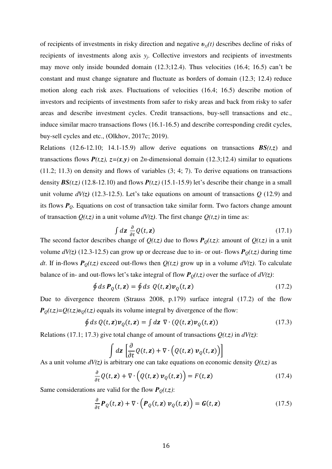of recipients of investments in risky direction and negative *υyj(t)* describes decline of risks of recipients of investments along axis y<sub>*j*</sub>. Collective investors and recipients of investments may move only inside bounded domain (12.3;12.4). Thus velocities (16.4; 16.5) can't be constant and must change signature and fluctuate as borders of domain (12.3; 12.4) reduce motion along each risk axes. Fluctuations of velocities (16.4; 16.5) describe motion of investors and recipients of investments from safer to risky areas and back from risky to safer areas and describe investment cycles. Credit transactions, buy-sell transactions and etc., induce similar macro transactions flows (16.1-16.5) and describe corresponding credit cycles, buy-sell cycles and etc., (Olkhov, 2017c; 2019).

Relations (12.6-12.10; 14.1-15.9) allow derive equations on transactions *BS(t,z*) and transactions flows  $P(t,z)$ ,  $z=(x,y)$  on 2*n*-dimensional domain (12.3;12.4) similar to equations (11.2; 11.3) on density and flows of variables (3; 4; 7). To derive equations on transactions density  $BS(t, z)$  (12.8-12.10) and flows  $P(t, z)$  (15.1-15.9) let's describe their change in a small unit volume  $dV(z)$  (12.3-12.5). Let's take equations on amount of transactions  $Q$  (12.9) and its flows *PQ*. Equations on cost of transaction take similar form. Two factors change amount of transaction  $Q(t,z)$  in a unit volume  $dV(z)$ . The first change  $Q(t,z)$  in time as:

$$
\int dz \frac{\partial}{\partial t} Q(t, z) \tag{17.1}
$$

The second factor describes change of  $Q(t,z)$  due to flows  $P_Q(t,z)$ : amount of  $Q(t,z)$  in a unit volume  $dV(z)$  (12.3-12.5) can grow up or decrease due to in- or out- flows  $P_Q(t, z)$  during time *dt*. If in-flows  $P_Q(t, z)$  exceed out-flows then  $Q(t, z)$  grow up in a volume  $dV(z)$ . To calculate balance of in- and out-flows let's take integral of flow  $P_Q(t,z)$  over the surface of  $dV(z)$ :

$$
\oint ds \, \mathbf{P}_Q(t, \mathbf{z}) = \oint ds \, Q(t, \mathbf{z}) \mathbf{v}_Q(t, \mathbf{z}) \tag{17.2}
$$

Due to divergence theorem (Strauss 2008, p.179) surface integral (17.2) of the flow  $P_{Q}(t,z) = Q(t,z)v_{Q}(t,z)$  equals its volume integral by divergence of the flow:

$$
\oint ds \, Q(t, \mathbf{z}) \mathbf{v}_Q(t, \mathbf{z}) = \int d\mathbf{z} \, \nabla \cdot (Q(t, \mathbf{z}) \mathbf{v}_Q(t, \mathbf{z})) \tag{17.3}
$$

Relations (17.1; 17.3) give total change of amount of transactions  $Q(t, z)$  in  $dV(z)$ :

$$
\int d\mathbf{z} \left[ \frac{\partial}{\partial t} Q(t, \mathbf{z}) + \nabla \cdot \left( Q(t, \mathbf{z}) \, \mathbf{v}_Q(t, \mathbf{z}) \right) \right]
$$

As a unit volume *dV(z)* is arbitrary one can take equations on economic density *Q(t,z)* as

$$
\frac{\partial}{\partial t} Q(t, \mathbf{z}) + \nabla \cdot \left( Q(t, \mathbf{z}) \, \mathbf{v}_Q(t, \mathbf{z}) \right) = F(t, \mathbf{z}) \tag{17.4}
$$

Same considerations are valid for the flow  $P_Q(t, z)$ :

$$
\frac{\partial}{\partial t} \boldsymbol{P}_Q(t, \mathbf{z}) + \nabla \cdot \left( \boldsymbol{P}_Q(t, \mathbf{z}) \, \boldsymbol{v}_Q(t, \mathbf{z}) \right) = \boldsymbol{G}(t, \mathbf{z}) \tag{17.5}
$$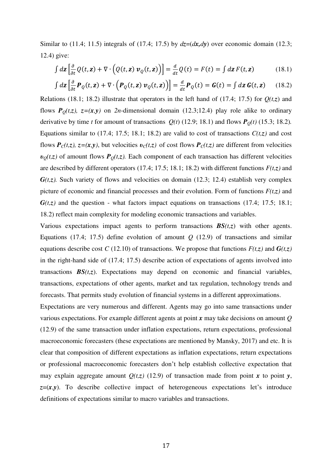Similar to (11.4; 11.5) integrals of (17.4; 17.5) by  $dz = (dx, dy)$  over economic domain (12.3; 12.4) give:

$$
\int d\mathbf{z} \left[ \frac{\partial}{\partial t} Q(t, \mathbf{z}) + \nabla \cdot \left( Q(t, \mathbf{z}) \, \mathbf{v}_Q(t, \mathbf{z}) \right) \right] = \frac{d}{dt} Q(t) = F(t) = \int d\mathbf{z} \, F(t, \mathbf{z}) \tag{18.1}
$$

$$
\int d\mathbf{z} \left[ \frac{\partial}{\partial t} \mathbf{P}_Q(t, \mathbf{z}) + \nabla \cdot \left( \mathbf{P}_Q(t, \mathbf{z}) \, \mathbf{v}_Q(t, \mathbf{z}) \right) \right] = \frac{d}{dt} \mathbf{P}_Q(t) = \mathbf{G}(t) = \int d\mathbf{z} \, \mathbf{G}(t, \mathbf{z}) \tag{18.2}
$$

Relations (18.1; 18.2) illustrate that operators in the left hand of (17.4; 17.5) for  $Q(t,z)$  and flows  $P_{Q}(t,z)$ ,  $z=(x,y)$  on 2*n*-dimensional domain (12.3;12.4) play role alike to ordinary derivative by time *t* for amount of transactions  $Q(t)$  (12.9; 18.1) and flows  $P<sub>O</sub>(t)$  (15.3; 18.2). Equations similar to (17.4; 17.5; 18.1; 18.2) are valid to cost of transactions  $C(t,z)$  and cost flows  $P_c(t,z)$ ,  $z=(x,y)$ , but velocities  $v_c(t,z)$  of cost flows  $P_c(t,z)$  are different from velocities  $v<sub>O</sub>(t,z)$  of amount flows  $P<sub>O</sub>(t,z)$ . Each component of each transaction has different velocities are described by different operators (17.4; 17.5; 18.1; 18.2) with different functions *F(t,z)* and  $G(t, z)$ . Such variety of flows and velocities on domain (12.3; 12.4) establish very complex picture of economic and financial processes and their evolution. Form of functions  $F(t,z)$  and  $G(t, z)$  and the question - what factors impact equations on transactions (17.4; 17.5; 18.1; 18.2) reflect main complexity for modeling economic transactions and variables.

Various expectations impact agents to perform transactions  $BS(t,z)$  with other agents. Equations (17.4; 17.5) define evolution of amount  $Q$  (12.9) of transactions and similar equations describe cost *C* (12.10) of transactions. We propose that functions  $F(t,z)$  and  $G(t,z)$ in the right-hand side of (17.4; 17.5) describe action of expectations of agents involved into transactions  $BS(t, z)$ . Expectations may depend on economic and financial variables, transactions, expectations of other agents, market and tax regulation, technology trends and forecasts. That permits study evolution of financial systems in a different approximations.

Expectations are very numerous and different. Agents may go into same transactions under various expectations. For example different agents at point *x* may take decisions on amount *Q* (12.9) of the same transaction under inflation expectations, return expectations, professional macroeconomic forecasters (these expectations are mentioned by Mansky, 2017) and etc. It is clear that composition of different expectations as inflation expectations, return expectations or professional macroeconomic forecasters don't help establish collective expectation that may explain aggregate amount  $Q(t, z)$  (12.9) of transaction made from point *x* to point *y*,  $z=(x,y)$ . To describe collective impact of heterogeneous expectations let's introduce definitions of expectations similar to macro variables and transactions.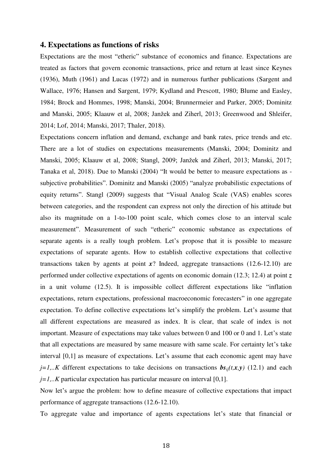### **4. Expectations as functions of risks**

Expectations are the most "etheric" substance of economics and finance. Expectations are treated as factors that govern economic transactions, price and return at least since Keynes (1936), Muth (1961) and Lucas (1972) and in numerous further publications (Sargent and Wallace, 1976; Hansen and Sargent, 1979; Kydland and Prescott, 1980; Blume and Easley, 1984; Brock and Hommes, 1998; Manski, 2004; Brunnermeier and Parker, 2005; Dominitz and Manski, 2005; Klaauw et al, 2008; Janžek and Ziherl, 2013; Greenwood and Shleifer, 2014; Lof, 2014; Manski, 2017; Thaler, 2018).

Expectations concern inflation and demand, exchange and bank rates, price trends and etc. There are a lot of studies on expectations measurements (Manski, 2004; Dominitz and Manski, 2005; Klaauw et al, 2008; Stangl, 2009; Janžek and Ziherl, 2013; Manski, 2017; Tanaka et al, 2018). Due to Manski (2004) "It would be better to measure expectations as subjective probabilities". Dominitz and Manski (2005) "analyze probabilistic expectations of equity returns". Stangl (2009) suggests that "Visual Analog Scale (VAS) enables scores between categories, and the respondent can express not only the direction of his attitude but also its magnitude on a 1-to-100 point scale, which comes close to an interval scale measurement". Measurement of such "etheric" economic substance as expectations of separate agents is a really tough problem. Let's propose that it is possible to measure expectations of separate agents. How to establish collective expectations that collective transactions taken by agents at point *x*? Indeed, aggregate transactions (12.6-12.10) are performed under collective expectations of agents on economic domain (12.3; 12.4) at point *z* in a unit volume (12.5). It is impossible collect different expectations like "inflation expectations, return expectations, professional macroeconomic forecasters" in one aggregate expectation. To define collective expectations let's simplify the problem. Let's assume that all different expectations are measured as index. It is clear, that scale of index is not important. Measure of expectations may take values between 0 and 100 or 0 and 1. Let's state that all expectations are measured by same measure with same scale. For certainty let's take interval [0,1] as measure of expectations. Let's assume that each economic agent may have *j*=1,.*K* different expectations to take decisions on transactions  $\mathbf{b}s_{ij}(t,x,y)$  (12.1) and each  $j=1...K$  particular expectation has particular measure on interval [0,1].

Now let's argue the problem: how to define measure of collective expectations that impact performance of aggregate transactions (12.6-12.10).

To aggregate value and importance of agents expectations let's state that financial or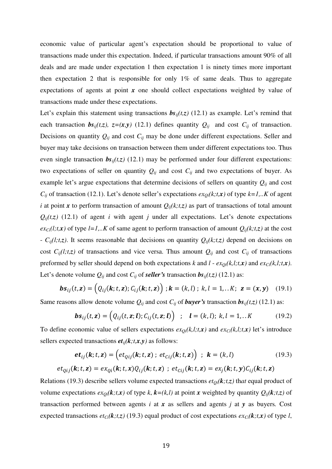economic value of particular agent's expectation should be proportional to value of transactions made under this expectation. Indeed, if particular transactions amount 90% of all deals and are made under expectation 1 then expectation 1 is ninety times more important then expectation 2 that is responsible for only  $1\%$  of same deals. Thus to aggregate expectations of agents at point *x* one should collect expectations weighted by value of transactions made under these expectations.

Let's explain this statement using transactions  $\mathbf{b}s_{ii}(t,z)$  (12.1) as example. Let's remind that each transaction  $bs_{ij}(t,z)$ ,  $z=(x,y)$  (12.1) defines quantity  $Q_{ij}$  and cost  $C_{ij}$  of transaction. Decisions on quantity  $Q_{ij}$  and cost  $C_{ij}$  may be done under different expectations. Seller and buyer may take decisions on transaction between them under different expectations too. Thus even single transaction  $bs_{ij}(t,z)$  (12.1) may be performed under four different expectations: two expectations of seller on quantity  $Q_{ij}$  and cost  $C_{ij}$  and two expectations of buyer. As example let's argue expectations that determine decisions of sellers on quantity *Qij* and cost  $C_{ij}$  of transaction (12.1). Let's denote seller's expectations  $ex_{Qi}(k; t, x)$  of type  $k=1,..K$  of agent *i* at point *x* to perform transaction of amount  $Q_{ij}(k,t,z)$  as part of transactions of total amount  $Q_{ii}(t, z)$  (12.1) of agent *i* with agent *j* under all expectations. Let's denote expectations  $ex_{Ci}(l;t,x)$  of type  $l=l,..K$  of same agent to perform transaction of amount  $Q_{ij}(k;t,z)$  at the cost -  $C_{ij}(l;t,z)$ . It seems reasonable that decisions on quantity  $Q_{ij}(k;t,z)$  depend on decisions on cost  $C_{ij}(l;t,z)$  of transactions and vice versa. Thus amount  $Q_{ij}$  and cost  $C_{ij}$  of transactions preformed by seller should depend on both expectations *k* and *l* -  $ex_{Qi}(k,l;t,x)$  and  $ex_{Ci}(k,l;t,x)$ . Let's denote volume  $Q_{ij}$  and cost  $C_{ij}$  of *seller's* transaction  $bs_{ij}(t,z)$  (12.1) as:

$$
\boldsymbol{bs}_{ij}(t,\mathbf{z}) = (Q_{ij}(\mathbf{k};t,\mathbf{z});C_{ij}(\mathbf{k};t,\mathbf{z})) \; ; \; \mathbf{k} = (k,l) \; ; \; k, l = 1,..K; \; \mathbf{z} = (\mathbf{x},\mathbf{y}) \quad (19.1)
$$

Same reasons allow denote volume  $Q_{ij}$  and cost  $C_{ij}$  of *buyer's* transaction  $bs_{ij}(t,z)$  (12.1) as:

$$
\boldsymbol{bs}_{ij}(t, \mathbf{z}) = (Q_{ij}(t, \mathbf{z}; \mathbf{l}); C_{ij}(t, \mathbf{z}; \mathbf{l})) \hspace{0.2cm}; \hspace{0.2cm} \mathbf{l} = (k, l); \hspace{0.1cm} k, l = 1, ...K \hspace{1cm} (19.2)
$$

To define economic value of sellers expectations  $ex_{Qi}(k,l;t,x)$  and  $ex_{Ci}(k,l;t,x)$  let's introduce sellers expected transactions  $et_{ij}(k; t, x, y)$  as follows:

$$
\boldsymbol{et}_{ij}(\mathbf{k}; t, \mathbf{z}) = \left( \boldsymbol{et}_{Qij}(\mathbf{k}; t, \mathbf{z}) ; \ \boldsymbol{et}_{Cij}(\mathbf{k}; t, \mathbf{z}) \right) ; \ \mathbf{k} = (k, l) \tag{19.3}
$$
\n
$$
\boldsymbol{et}_{Qij}(\mathbf{k}; t, \mathbf{z}) = \boldsymbol{ex}_{Qi}(\mathbf{k}; t, \mathbf{x}) Q_{ij}(\mathbf{k}; t, \mathbf{z}) ; \ \boldsymbol{et}_{Cij}(\mathbf{k}; t, \mathbf{z}) = \boldsymbol{ex}_{j}(\mathbf{k}; t, \mathbf{y}) C_{ij}(\mathbf{k}; t, \mathbf{z})
$$

Relations (19.3) describe sellers volume expected transactions  $et_{0i}(k; t, z)$  that equal product of volume expectations  $ex_{0i}(k, t, x)$  of type k,  $k=(k, l)$  at point *x* weighted by quantity  $Q_{ii}(k, t, z)$  of transaction performed between agents *i* at *x* as sellers and agents *j* at *y* as buyers*.* Cost expected transactions  $et_{Ci}(k; t, z)$  (19.3) equal product of cost expectations  $ex_{Ci}(k; t, x)$  of type *l*,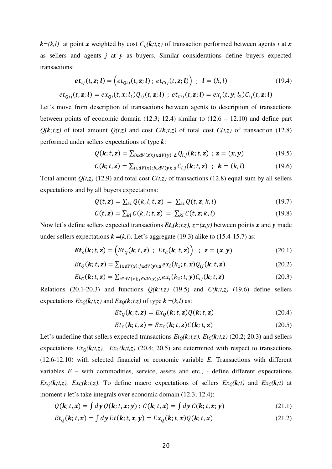$k = (k, l)$  at point *x* weighted by cost  $C_{ij}(k, t, z)$  of transaction performed between agents *i* at *x* as sellers and agents *j* at *y* as buyers. Similar considerations define buyers expected transactions:

$$
\boldsymbol{et}_{ij}(t, \mathbf{z}; \mathbf{l}) = \left( et_{Qij}(t, \mathbf{z}; \mathbf{l}) ; et_{Cij}(t, \mathbf{z}; \mathbf{l}) \right) ; \mathbf{l} = (k, l) \tag{19.4}
$$
\n
$$
(t, \mathbf{z}; \mathbf{l}) = \alpha \left( t, \mathbf{z}; \mathbf{l} \right) \left( t, \mathbf{z}; \mathbf{l} \right) + \alpha t, \quad (t, \mathbf{z}; \mathbf{l}) = \alpha \left( t, \mathbf{z}; \mathbf{l} \right) \left( t, \mathbf{z}; \mathbf{l} \right)
$$

$$
et_{Qij}(t, \mathbf{z}; \mathbf{l}) = ex_{Qi}(t, \mathbf{x}; l_1)Q_{ij}(t, \mathbf{z}; \mathbf{l}) \; ; \; et_{Cij}(t, \mathbf{z}; \mathbf{l}) = ex_j(t, \mathbf{y}; l_2)C_{ij}(t, \mathbf{z}; \mathbf{l})
$$

Let's move from description of transactions between agents to description of transactions between points of economic domain  $(12.3; 12.4)$  similar to  $(12.6 - 12.10)$  and define part  $Q(k,t,z)$  of total amount  $Q(t,z)$  and cost  $C(k,t,z)$  of total cost  $C(t,z)$  of transaction (12.8) performed under sellers expectations of type *k*:

$$
Q(\mathbf{k};t,\mathbf{z})=\sum_{i\in dV(\mathbf{x});j\in dV(\mathbf{y});\Delta}Q_{i,j}(\mathbf{k};t,\mathbf{z})\ ;\ \mathbf{z}=(\mathbf{x},\mathbf{y})\tag{19.5}
$$

$$
C(\mathbf{k}; t, \mathbf{z}) = \sum_{i \in dV(\mathbf{x}); j \in dV(\mathbf{y}); \Delta} C_{i,j}(\mathbf{k}; t, \mathbf{z}) \quad ; \quad \mathbf{k} = (k, l) \tag{19.6}
$$

Total amount  $Q(t,z)$  (12.9) and total cost  $C(t,z)$  of transactions (12.8) equal sum by all sellers expectations and by all buyers expectations:

$$
Q(t, \mathbf{z}) = \sum_{kl} Q(k, l; t, \mathbf{z}) = \sum_{kl} Q(t, \mathbf{z}; k, l)
$$
\n(19.7)

$$
C(t, \mathbf{z}) = \sum_{kl} C(k, l; t, \mathbf{z}) = \sum_{kl} C(t, \mathbf{z}; k, l)
$$
 (19.8)

Now let's define sellers expected transactions  $Et_s(k; t, z)$ ,  $z = (x, y)$  between points x and y made under sellers expectations  $\mathbf{k} = (k, l)$ . Let's aggregate (19.3) alike to (15.4-15.7) as:

$$
\boldsymbol{E} \boldsymbol{t}_s(\boldsymbol{k}; t, \boldsymbol{z}) = \Big( Et_Q(\boldsymbol{k}; t, \boldsymbol{z}) \ ; \ Et_C(\boldsymbol{k}; t, \boldsymbol{z}) \Big) \ ; \ \boldsymbol{z} = (\boldsymbol{x}, \boldsymbol{y}) \tag{20.1}
$$

$$
Et_Q(\mathbf{k}; t, \mathbf{z}) = \sum_{i \in dV(\mathbf{x}); j \in dV(\mathbf{y}); \Delta} ex_i(k_1; t, \mathbf{x}) Q_{ij}(\mathbf{k}; t, \mathbf{z})
$$
(20.2)

$$
Et_C(\mathbf{k}; t, \mathbf{z}) = \sum_{i \in dV(\mathbf{x}); j \in dV(\mathbf{y}); \Delta} ex_j(k_2; t, \mathbf{y}) C_{ij}(\mathbf{k}; t, \mathbf{z})
$$
(20.3)

Relations (20.1-20.3) and functions  $Q(k; t, z)$  (19.5) and  $C(k; t, z)$  (19.6) define sellers expectations  $Ex_0(k; t, z)$  and  $Ex_0(k; t, z)$  of type  $k = (k, l)$  as:

$$
Et_Q(\mathbf{k}; t, \mathbf{z}) = Ex_Q(\mathbf{k}; t, \mathbf{z})Q(\mathbf{k}; t, \mathbf{z})
$$
\n(20.4)

$$
Et_C(\mathbf{k}; t, \mathbf{z}) = Ex_C(\mathbf{k}; t, \mathbf{z})C(\mathbf{k}; t, \mathbf{z})
$$
\n(20.5)

Let's underline that sellers expected transactions  $Et_0(k,t,z)$ ,  $Et_c(k,t,z)$  (20.2; 20.3) and sellers expectations  $Ex_0(k,t,z)$ ,  $Ex_0(k,t,z)$  (20.4; 20.5) are determined with respect to transactions (12.6-12.10) with selected financial or economic variable *E*. Transactions with different variables  $E$  – with commodities, service, assets and etc., - define different expectations  $Ex_0(k,t,z)$ ,  $Ex_0(k,t,z)$ . To define macro expectations of sellers  $Ex_0(k,t)$  and  $Ex_0(k,t)$  at moment *t* let's take integrals over economic domain (12.3; 12.4):

$$
Q(\mathbf{k}; t, \mathbf{x}) = \int d\mathbf{y} Q(\mathbf{k}; t, \mathbf{x}; \mathbf{y}); C(\mathbf{k}; t, \mathbf{x}) = \int d\mathbf{y} C(\mathbf{k}; t, \mathbf{x}; \mathbf{y})
$$
(21.1)

$$
Et_Q(\mathbf{k}; t, x) = \int d\mathbf{y} Et(\mathbf{k}; t, x, y) = Ex_Q(\mathbf{k}; t, x)Q(\mathbf{k}; t, x)
$$
\n(21.2)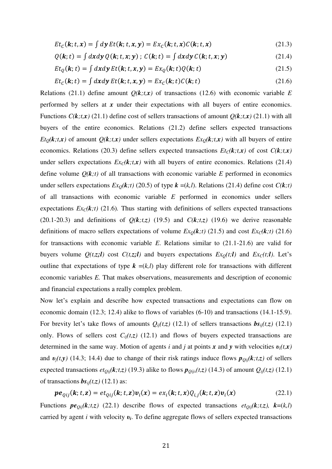$$
Et_C(\mathbf{k}; t, x) = \int d\mathbf{y} Et(\mathbf{k}; t, x, y) = Ex_C(\mathbf{k}; t, x)C(\mathbf{k}; t, x)
$$
\n(21.3)

$$
Q(\mathbf{k};t) = \int dx dy Q(\mathbf{k};t,x;y); C(\mathbf{k};t) = \int dx dy C(\mathbf{k};t,x;y)
$$
 (21.4)

$$
Et_Q(\mathbf{k};t) = \int dx dy \, Et(\mathbf{k};t,x,y) = Ex_Q(\mathbf{k};t)Q(\mathbf{k};t)
$$
\n(21.5)

$$
Et_C(\mathbf{k};t) = \int dx dy \, Et(\mathbf{k};t,x,y) = Ex_C(\mathbf{k};t)C(\mathbf{k};t)
$$
\n(21.6)

Relations (21.1) define amount  $Q(k,t,x)$  of transactions (12.6) with economic variable *E* performed by sellers at *x* under their expectations with all buyers of entire economics. Functions  $C(k,t,x)$  (21.1) define cost of sellers transactions of amount  $Q(k,t,x)$  (21.1) with all buyers of the entire economics. Relations (21.2) define sellers expected transactions  $Et<sub>O</sub>(k,t,x)$  of amount  $Q(k,t,x)$  under sellers expectations  $Ex<sub>O</sub>(k,t,x)$  with all buyers of entire economics. Relations (20.3) define sellers expected transactions  $Et_C(k,t,x)$  of cost  $C(k,t,x)$ under sellers expectations  $Ex_c(k,t,x)$  with all buyers of entire economics. Relations (21.4) define volume  $Q(k,t)$  of all transactions with economic variable  $E$  performed in economics under sellers expectations  $Ex_0(k,t)$  (20.5) of type  $k = (k,l)$ . Relations (21.4) define cost  $C(k,t)$ of all transactions with economic variable *E* performed in economics under sellers expectations  $Ex_{\mathcal{C}}(k,t)$  (21.6). Thus starting with definitions of sellers expected transactions (20.1-20.3) and definitions of  $Q(k,t,z)$  (19.5) and  $C(k,t,z)$  (19.6) we derive reasonable definitions of macro sellers expectations of volume  $Ex_0(k,t)$  (21.5) and cost  $Ex_0(k,t)$  (21.6) for transactions with economic variable *E*. Relations similar to (21.1-21.6) are valid for buyers volume  $Q(t,z;l)$  cost  $C(t,z;l)$  and buyers expectations  $Ex_0(t;l)$  and  $Ex_0(t;l)$ . Let's outline that expectations of type  $k = (k, l)$  play different role for transactions with different economic variables *E.* That makes observations, measurements and description of economic and financial expectations a really complex problem.

Now let's explain and describe how expected transactions and expectations can flow on economic domain (12.3; 12.4) alike to flows of variables (6-10) and transactions (14.1-15.9). For brevity let's take flows of amounts  $Q_{ij}(t,z)$  (12.1) of sellers transactions  $bs_{ij}(t,z)$  (12.1) only. Flows of sellers cost  $C_{ij}(t,z)$  (12.1) and flows of buyers expected transactions are determined in the same way. Motion of agents *i* and *j* at points *x* and *y* with velocities *υi(t,x)* and  $v_j(t, y)$  (14.3; 14.4) due to change of their risk ratings induce flows  $p_{Qij}(k, t, z)$  of sellers expected transactions  $et_{Qij}(\mathbf{k};t,\mathbf{z})$  (19.3) alike to flows  $\mathbf{p}_{Qijx}(t,\mathbf{z})$  (14.3) of amount  $Q_{ij}(t,\mathbf{z})$  (12.1) of transactions  $\mathbf{b} s_{ij}(t,z)$  (12.1) as:

$$
\boldsymbol{p} \boldsymbol{e}_{Qij}(\boldsymbol{k}; t, \mathbf{z}) = e t_{Qij}(\boldsymbol{k}; t, \mathbf{z}) \boldsymbol{v}_i(\mathbf{x}) = e x_i(\boldsymbol{k}; t, \mathbf{x}) Q_{i,j}(\boldsymbol{k}; t, \mathbf{z}) \boldsymbol{v}_i(\mathbf{x}) \qquad (22.1)
$$

Functions  $pe_{0ij}(k; t, z)$  (22.1) describe flows of expected transactions  $et_{0ij}(k; t, z)$ ,  $k=(k, l)$ carried by agent *i* with velocity *υ<sup>i</sup>* . To define aggregate flows of sellers expected transactions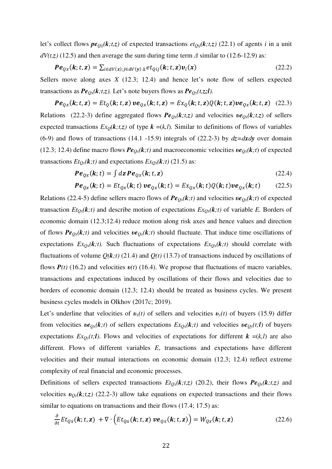let's collect flows  $pe_{Qij}(k,t,z)$  of expected transactions  $et_{Qij}(k,t,z)$  (22.1) of agents *i* in a unit  $dV(t, z)$  (12.5) and then average the sum during time term  $\Delta$  similar to (12.6-12.9) as:

$$
\boldsymbol{P} \boldsymbol{e}_{Q\boldsymbol{x}}(\boldsymbol{k}; t, \boldsymbol{z}) = \sum_{i \in dV(\boldsymbol{x}); j \in dV(\boldsymbol{y})} \Delta \boldsymbol{e} t_{Qij}(\boldsymbol{k}; t, \boldsymbol{z}) \boldsymbol{v}_i(\boldsymbol{x}) \tag{22.2}
$$

Sellers move along axes *X* (12.3; 12.4) and hence let's note flow of sellers expected transactions as  $Pe_{Qx}(k; t, z)$ . Let's note buyers flows as  $Pe_{Qy}(t, z; l)$ .

 $Pe_{Qx}(k; t, z) = Et_{Q}(k; t, z)$   $ve_{Qx}(k; t, z) = Ex_{Q}(k; t, z)Q(k; t, z)ve_{Qx}(k; t, z)$  (22.3) Relations (22.2-3) define aggregated flows  $Pe_{Ox}(k; t, z)$  and velocities  $ve_{Ox}(k; t, z)$  of sellers expected transactions  $Ex_0(k, t, z)$  of type  $k = (k, l)$ . Similar to definitions of flows of variables (6-9) and flows of transactions (14.1 -15.9) integrals of (22.2-3) by  $dz = dxdy$  over domain (12.3; 12.4) define macro flows  $Pe_{Ox}(k,t)$  and macroeconomic velocities  $ve_{Ox}(k,t)$  of expected transactions  $Et_{Qx}(\mathbf{k};t)$  and expectations  $Ex_{Qx}(\mathbf{k};t)$  (21.5) as:

$$
\boldsymbol{P} \boldsymbol{e}_{Q\boldsymbol{x}}(\boldsymbol{k};t) = \int d\mathbf{z} \, \boldsymbol{P} \boldsymbol{e}_{Q\boldsymbol{x}}(\boldsymbol{k};t,\mathbf{z}) \tag{22.4}
$$

$$
\boldsymbol{P} \boldsymbol{e}_{Qx}(\boldsymbol{k}; t) = Et_{Qx}(\boldsymbol{k}; t) \boldsymbol{v} \boldsymbol{e}_{Qx}(\boldsymbol{k}; t) = Ex_{Qx}(\boldsymbol{k}; t) Q(\boldsymbol{k}; t) \boldsymbol{v} \boldsymbol{e}_{Qx}(\boldsymbol{k}; t) \qquad (22.5)
$$

Relations (22.4-5) define sellers macro flows of  $Pe_{Qx}(k;t)$  and velocities  $ve_{Qx}(k;t)$  of expected transaction  $Et_{Qx}(k;t)$  and describe motion of expectations  $Ex_{Qx}(k;t)$  of variable *E*. Borders of economic domain (12.3;12.4) reduce motion along risk axes and hence values and direction of flows  $Pe_{Qx}(k;t)$  and velocities  $ve_{Qx}(k;t)$  should fluctuate. That induce time oscillations of expectations  $Ex_{Qx}(\mathbf{k};t)$ . Such fluctuations of expectations  $Ex_{Qx}(\mathbf{k};t)$  should correlate with fluctuations of volume  $Q(k,t)$  (21.4) and  $Q(t)$  (13.7) of transactions induced by oscillations of flows *P(t)* (16.2) and velocities *υ(t*) (16.4). We propose that fluctuations of macro variables, transactions and expectations induced by oscillations of their flows and velocities due to borders of economic domain (12.3; 12.4) should be treated as business cycles. We present business cycles models in Olkhov (2017c; 2019).

Let's underline that velocities of  $v_x(t)$  of sellers and velocities  $v_y(t)$  of buyers (15.9) differ from velocities  $ve_{Qx}(k;t)$  of sellers expectations  $Ex_{Qx}(k;t)$  and velocities  $ve_{Qy}(t;t)$  of buyers expectations  $Ex_{Qy}(t;l)$ . Flows and velocities of expectations for different  $k = (k,l)$  are also different. Flows of different variables *E*, transactions and expectations have different velocities and their mutual interactions on economic domain (12.3; 12.4) reflect extreme complexity of real financial and economic processes.

Definitions of sellers expected transactions  $Et_{Qx}(k; t, z)$  (20.2), their flows  $Pe_{Qx}(k; t, z)$  and velocities  $v_{Qx}(k,t,z)$  (22.2-3) allow take equations on expected transactions and their flows similar to equations on transactions and their flows (17.4; 17.5) as:

$$
\frac{\partial}{\partial t} E t_{Qx}(\mathbf{k}; t, \mathbf{z}) + \nabla \cdot \Big( E t_{Qx}(\mathbf{k}; t, \mathbf{z}) \, \nu e_{Qx}(\mathbf{k}; t, \mathbf{z}) \Big) = W_{Qx}(\mathbf{k}; t, \mathbf{z}) \tag{22.6}
$$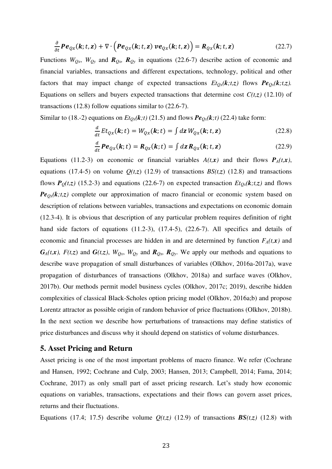$$
\frac{\partial}{\partial t} \boldsymbol{P} \boldsymbol{e}_{Qx}(\boldsymbol{k}; t, \mathbf{z}) + \nabla \cdot \left( \boldsymbol{P} \boldsymbol{e}_{Qx}(\boldsymbol{k}; t, \mathbf{z}) \, \boldsymbol{v} \boldsymbol{e}_{Qx}(\boldsymbol{k}; t, \mathbf{z}) \right) = \boldsymbol{R}_{Qx}(\boldsymbol{k}; t, \mathbf{z}) \tag{22.7}
$$

Functions  $W_{Qx}$ ,  $W_{Qy}$  and  $R_{Qy}$   $R_{Qy}$  in equations (22.6-7) describe action of economic and financial variables, transactions and different expectations, technology, political and other factors that may impact change of expected transactions  $Et_{Qx}(k; t, z)$  flows  $Pe_{Qx}(k; t, z)$ . Equations on sellers and buyers expected transactions that determine cost  $C(t,z)$  (12.10) of transactions (12.8) follow equations similar to (22.6-7).

Similar to (18.-2) equations on  $Et_{Qx}(k;t)$  (21.5) and flows  $Pe_{Qx}(k;t)$  (22.4) take form:

$$
\frac{d}{dt}Et_{Qx}(\mathbf{k};t) = W_{Qx}(\mathbf{k};t) = \int d\mathbf{z} \, W_{Qx}(\mathbf{k};t,\mathbf{z}) \tag{22.8}
$$

$$
\frac{d}{dt}\boldsymbol{P}\boldsymbol{e}_{Qx}(\boldsymbol{k};t) = \boldsymbol{R}_{Qx}(\boldsymbol{k};t) = \int d\boldsymbol{z} \, \boldsymbol{R}_{Qx}(\boldsymbol{k};t,\boldsymbol{z}) \tag{22.9}
$$

Equations (11.2-3) on economic or financial variables  $A(t, x)$  and their flows  $P_A(t, x)$ , equations (17.4-5) on volume  $Q(t,z)$  (12.9) of transactions  $BS(t,z)$  (12.8) and transactions flows  $P_{Q}(t,z)$  (15.2-3) and equations (22.6-7) on expected transaction  $Et_{Qx}(k;t,z)$  and flows  $Pe_{Qx}(k,t,z)$  complete our approximation of macro financial or economic system based on description of relations between variables, transactions and expectations on economic domain (12.3-4). It is obvious that description of any particular problem requires definition of right hand side factors of equations (11.2-3), (17.4-5), (22.6-7). All specifics and details of economic and financial processes are hidden in and are determined by function  $F_A(t, x)$  and  $G_A(t,x)$ ,  $F(t,z)$  and  $G(t,z)$ ,  $W_{Qx}$ ,  $W_{Qy}$  and  $R_{Qx}$ ,  $R_{Qy}$ . We apply our methods and equations to describe wave propagation of small disturbances of variables (Olkhov, 2016a-2017a), wave propagation of disturbances of transactions (Olkhov, 2018a) and surface waves (Olkhov, 2017b). Our methods permit model business cycles (Olkhov, 2017c; 2019), describe hidden complexities of classical Black-Scholes option pricing model (Olkhov, 2016a;b) and propose Lorentz attractor as possible origin of random behavior of price fluctuations (Olkhov, 2018b). In the next section we describe how perturbations of transactions may define statistics of price disturbances and discuss why it should depend on statistics of volume disturbances.

#### **5. Asset Pricing and Return**

Asset pricing is one of the most important problems of macro finance. We refer (Cochrane and Hansen, 1992; Cochrane and Culp, 2003; Hansen, 2013; Campbell, 2014; Fama, 2014; Cochrane, 2017) as only small part of asset pricing research. Let's study how economic equations on variables, transactions, expectations and their flows can govern asset prices, returns and their fluctuations.

Equations (17.4; 17.5) describe volume  $Q(t,z)$  (12.9) of transactions  $BS(t,z)$  (12.8) with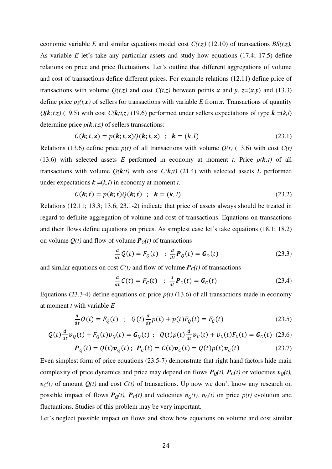economic variable *E* and similar equations model cost *C(t,z)* (12.10) of transactions *BS(t,z).* As variable *E* let's take any particular assets and study how equations (17.4; 17.5) define relations on price and price fluctuations. Let's outline that different aggregations of volume and cost of transactions define different prices. For example relations (12.11) define price of transactions with volume  $Q(t, z)$  and cost  $C(t, z)$  between points *x* and *y*,  $z=(x, y)$  and (13.3) define price  $p_S(t, x)$  of sellers for transactions with variable *E* from *x*. Transactions of quantity  $Q(k,t,z)$  (19.5) with cost  $C(k,t,z)$  (19.6) performed under sellers expectations of type  $k = (k,l)$ determine price  $p(k; t, z)$  of sellers transactions:

$$
C(\mathbf{k}; t, \mathbf{z}) = p(\mathbf{k}; t, \mathbf{z})Q(\mathbf{k}; t, \mathbf{z}) \hspace{1mm}; \hspace{1mm} \mathbf{k} = (k, l) \hspace{3mm} (23.1)
$$

Relations (13.6) define price  $p(t)$  of all transactions with volume  $Q(t)$  (13.6) with cost  $C(t)$ (13.6) with selected assets *E* performed in economy at moment *t*. Price  $p(k; t)$  of all transactions with volume  $Q(k,t)$  with cost  $C(k,t)$  (21.4) with selected assets *E* performed under expectations  $\mathbf{k} = (k, l)$  in economy at moment *t*.

$$
C(\mathbf{k};t) = p(\mathbf{k};t)Q(\mathbf{k};t) \hspace{0.2cm}; \hspace{0.2cm} \mathbf{k} = (k,l) \hspace{1cm} (23.2)
$$

Relations (12.11; 13.3; 13.6; 23.1-2) indicate that price of assets always should be treated in regard to definite aggregation of volume and cost of transactions. Equations on transactions and their flows define equations on prices. As simplest case let's take equations (18.1; 18.2) on volume  $Q(t)$  and flow of volume  $P_Q(t)$  of transactions

$$
\frac{d}{dt}Q(t) = F_Q(t) \quad ; \quad \frac{d}{dt}P_Q(t) = G_Q(t) \tag{23.3}
$$

and similar equations on cost  $C(t)$  and flow of volume  $P_C(t)$  of transactions

$$
\frac{d}{dt}C(t) = F_C(t) \quad ; \quad \frac{d}{dt}P_C(t) = G_C(t) \tag{23.4}
$$

Equations (23.3-4) define equations on price  $p(t)$  (13.6) of all transactions made in economy at moment *t* with variable *E*

$$
\frac{d}{dt}Q(t) = F_Q(t) \quad ; \quad Q(t)\frac{d}{dt}p(t) + p(t)F_Q(t) = F_C(t) \tag{23.5}
$$

$$
Q(t)\frac{d}{dt}\boldsymbol{v}_Q(t) + F_Q(t)\boldsymbol{v}_Q(t) = \boldsymbol{G}_Q(t) \; ; \; \; Q(t)p(t)\frac{d}{dt}\boldsymbol{v}_C(t) + \boldsymbol{v}_C(t)F_C(t) = \boldsymbol{G}_C(t) \; (23.6)
$$

$$
\boldsymbol{P}_Q(t) = Q(t)\boldsymbol{v}_Q(t); \ \boldsymbol{P}_C(t) = C(t)\boldsymbol{v}_C(t) = Q(t)\boldsymbol{p}(t)\boldsymbol{v}_C(t) \tag{23.7}
$$

Even simplest form of price equations (23.5-7) demonstrate that right hand factors hide main complexity of price dynamics and price may depend on flows  $P_{O}(t)$ ,  $P_{C}(t)$  or velocities  $v_{O}(t)$ ,  $v_c(t)$  of amount  $Q(t)$  and cost  $C(t)$  of transactions. Up now we don't know any research on possible impact of flows  $P_o(t)$ ,  $P_c(t)$  and velocities  $v_o(t)$ ,  $v_c(t)$  on price  $p(t)$  evolution and fluctuations. Studies of this problem may be very important.

Let's neglect possible impact on flows and show how equations on volume and cost similar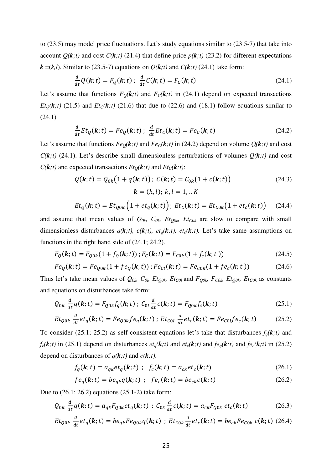to (23.5) may model price fluctuations. Let's study equations similar to (23.5-7) that take into account  $Q(k,t)$  and cost  $C(k,t)$  (21.4) that define price  $p(k,t)$  (23.2) for different expectations  $k = (k, l)$ . Similar to (23.5-7) equations on  $Q(k, t)$  and  $C(k, t)$  (24.1) take form:

$$
\frac{d}{dt}Q(\mathbf{k};t) = F_Q(\mathbf{k};t) \; ; \; \frac{d}{dt}C(\mathbf{k};t) = F_C(\mathbf{k};t) \tag{24.1}
$$

Let's assume that functions  $F_Q(\mathbf{k};t)$  and  $F_C(\mathbf{k};t)$  in (24.1) depend on expected transactions *Et*<sub>Q</sub> $(k; t)$  (21.5) and *Et*<sub>C</sub> $(k; t)$  (21.6) that due to (22.6) and (18.1) follow equations similar to (24.1)

$$
\frac{d}{dt}Et_Q(\mathbf{k};t) = Fe_Q(\mathbf{k};t); \frac{d}{dt}Et_C(\mathbf{k};t) = Fe_C(\mathbf{k};t)
$$
\n(24.2)

Let's assume that functions  $Fe_0(k, t)$  and  $Fe_0(k, t)$  in (24.2) depend on volume  $Q(k, t)$  and cost  $C(k,t)$  (24.1). Let's describe small dimensionless perturbations of volumes  $Q(k,t)$  and cost  $C(k,t)$  and expected transactions  $Et_Q(k,t)$  and  $Et_C(k,t)$ :

$$
Q(\mathbf{k}; t) = Q_{0k}(1 + q(\mathbf{k}; t)); C(\mathbf{k}; t) = C_{0k}(1 + c(\mathbf{k}; t))
$$
\n
$$
\mathbf{k} = (k, l); k, l = 1, ...K
$$
\n(24.3)

$$
Et_Q(\mathbf{k};t) = Et_{Q0k}\left(1 + et_q(\mathbf{k};t)\right); Et_C(\mathbf{k};t) = Et_{C0k}\left(1 + et_c(\mathbf{k};t)\right) \quad (24.4)
$$

and assume that mean values of *Q0k, C0k, EtQ0k, EtC0k* are slow to compare with small dimensionless disturbances  $q(k,t)$ ,  $c(k,t)$ ,  $et_q(k,t)$ ,  $et_c(k,t)$ . Let's take same assumptions on functions in the right hand side of (24.1; 24.2).

$$
F_Q(\mathbf{k}; t) = F_{Q0k}(1 + f_Q(\mathbf{k}; t)); F_C(\mathbf{k}; t) = F_{C0k}(1 + f_c(\mathbf{k}; t))
$$
\n(24.5)

$$
Fe_Q(\mathbf{k}; t) = Fe_{Q0k}(1 + fe_Q(\mathbf{k}; t)); Fe_{Cl}(\mathbf{k}; t) = Fe_{C0k}(1 + fe_c(\mathbf{k}; t))
$$
 (24.6)

Thus let's take mean values of  $Q_{0k}$ ,  $C_{0l}$ *, Et<sub>Q0k</sub>, Et<sub>C0l</sub>* and  $F_{Q0k}$ *, F<sub>C0k</sub>, Et<sub>Q0k</sub>, Et<sub>C0k</sub> as constants* and equations on disturbances take form:

$$
Q_{0k} \frac{d}{dt} q(\mathbf{k}; t) = F_{Q0k} f_q(\mathbf{k}; t) ; C_{0l} \frac{d}{dt} c(\mathbf{k}; t) = F_{Q0k} f_c(\mathbf{k}; t)
$$
 (25.1)

$$
Et_{Q0k} \frac{d}{dt}et_q(\mathbf{k};t) = Fe_{Q0k}fe_q(\mathbf{k};t); Et_{C0l} \frac{d}{dt}et_c(\mathbf{k};t) = Fe_{C0l}fe_c(\mathbf{k};t) \tag{25.2}
$$

To consider (25.1; 25.2) as self-consistent equations let's take that disturbances  $f_q(\mathbf{k};t)$  and  $f_c(\mathbf{k};t)$  in (25.1) depend on disturbances  $et_q(\mathbf{k};t)$  and  $et_c(\mathbf{k};t)$  and  $fe_q(\mathbf{k};t)$  and  $fe_c(\mathbf{k};t)$  in (25.2) depend on disturbances of  $q(k; t)$  and  $c(k; t)$ .

$$
f_q(\mathbf{k};t) = a_{qk}et_q(\mathbf{k};t) \; ; \; f_c(\mathbf{k};t) = a_{ck}et_c(\mathbf{k};t) \tag{26.1}
$$

$$
fe_q(\mathbf{k};t) = be_{qk}q(\mathbf{k};t) \hspace{1mm}; \hspace{1mm} fe_c(\mathbf{k};t) = be_{ck}c(\mathbf{k};t) \hspace{10mm}(26.2)
$$

Due to (26.1; 26.2) equations (25.1-2) take form:

$$
Q_{0k} \frac{d}{dt} q(\mathbf{k}; t) = a_{qk} F_{Q0k} e t_q(\mathbf{k}; t) ; C_{0k} \frac{d}{dt} c(\mathbf{k}; t) = a_{ck} F_{Q0k} e t_c(\mathbf{k}; t)
$$
 (26.3)

$$
Et_{Q0k} \frac{d}{dt}et_q(\mathbf{k};t) = be_{qk}Fe_{Q0k}q(\mathbf{k};t) ; Et_{C0k} \frac{d}{dt}et_c(\mathbf{k};t) = be_{ck}Fe_{C0k}c(\mathbf{k};t)
$$
 (26.4)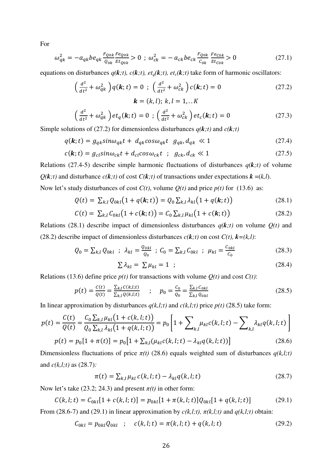For

$$
\omega_{qk}^2 = -a_{qk} b e_{qk} \frac{F_{Q0k}}{Q_{0k}} \frac{F_{Q0k}}{E t_{Q0k}} > 0 \; ; \; \omega_{ck}^2 = -a_{ck} b e_{ck} \frac{F_{Q0k}}{C_{0k}} \frac{F_{C0k}}{E t_{C0k}} > 0 \tag{27.1}
$$

equations on disturbances  $q(\mathbf{k};t)$ ,  $c(\mathbf{k};t)$ ,  $et_q(\mathbf{k};t)$ ,  $et_c(\mathbf{k};t)$  take form of harmonic oscillators:

$$
\left(\frac{d^2}{dt^2} + \omega_{qk}^2\right) q(\mathbf{k}; t) = 0 \; ; \; \left(\frac{d^2}{dt^2} + \omega_{ck}^2\right) c(\mathbf{k}; t) = 0
$$
\n
$$
\mathbf{k} = (k, l); \; k, l = 1, \dots K
$$
\n(27.2)

$$
\left(\frac{d^2}{dt^2} + \omega_{qk}^2\right) et_q(\mathbf{k}; t) = 0 \; ; \; \left(\frac{d^2}{dt^2} + \omega_{ck}^2\right) et_c(\mathbf{k}; t) = 0 \tag{27.3}
$$

Simple solutions of (27.2) for dimensionless disturbances  $q(k,t)$  and  $c(k,t)$ 

$$
q(\mathbf{k};t) = g_{qk} \sin \omega_{qk} t + d_{qk} \cos \omega_{qk} t \quad g_{qk}, d_{qk} \ll 1 \tag{27.4}
$$

$$
c(\mathbf{k};t) = g_{cl} \sin \omega_{ck} t + d_{cl} \cos \omega_{ck} t \quad ; \quad g_{ck}, d_{ck} \ll 1 \tag{27.5}
$$

Relations (27.4-5) describe simple harmonic fluctuations of disturbances  $q(k,t)$  of volume  $Q(k; t)$  and disturbance  $c(k; t)$  of cost  $C(k; t)$  of transactions under expectations  $k = (k, l)$ . Now let's study disturbances of cost  $C(t)$ , volume  $Q(t)$  and price  $p(t)$  for (13.6) as:

$$
Q(t) = \sum_{k,l} Q_{0kl} (1 + q(k; t)) = Q_0 \sum_{k,l} \lambda_{kl} (1 + q(k; t))
$$
 (28.1)

$$
C(t) = \sum_{k,l} C_{0kl} (1 + c(\mathbf{k}; t)) = C_0 \sum_{k,l} \mu_{kl} (1 + c(\mathbf{k}; t))
$$
 (28.2)

Relations (28.1) describe impact of dimensionless disturbances  $q(k; t)$  on volume  $Q(t)$  and (28.2) describe impact of dimensionless disturbances  $c(\mathbf{k};t)$  on cost  $C(t)$ ,  $\mathbf{k}=(k,l)$ :

$$
Q_0 = \sum_{k,l} Q_{0kl} \; ; \; \lambda_{kl} = \frac{Q_{0kl}}{Q_0} \; ; \; C_0 = \sum_{k,l} C_{0kl} \; ; \; \mu_{kl} = \frac{C_{0kl}}{C_0} \tag{28.3}
$$

$$
\sum \lambda_{kl} = \sum \mu_{kl} = 1 \quad ; \tag{28.4}
$$

Relations (13.6) define price  $p(t)$  for transactions with volume  $Q(t)$  and cost  $C(t)$ :

$$
p(t) = \frac{c(t)}{Q(t)} = \frac{\sum_{k,l} c(k,l;t)}{\sum_{k,l} Q(k,l;t)} \qquad ; \qquad p_0 = \frac{c_0}{Q_0} = \frac{\sum_{k,l} c_{0kl}}{\sum_{k,l} Q_{0kl}} \tag{28.5}
$$

In linear approximation by disturbances  $q(k,l;t)$  and  $c(k,l;t)$  price  $p(t)$  (28.5) take form:

$$
p(t) = \frac{C(t)}{Q(t)} = \frac{C_0 \sum_{k,l} \mu_{kl} (1 + c(k, l; t))}{Q_0 \sum_{k,l} \lambda_{kl} (1 + q(k, l; t))} = p_0 \left[ 1 + \sum_{k,l} \mu_{kl} c(k, l; t) - \sum_{k,l} \lambda_{kl} q(k, l; t) \right]
$$

$$
p(t) = p_0 [1 + \pi(t)] = p_0 [1 + \sum_{k,l} (\mu_{kl} c(k, l; t) - \lambda_{kl} q(k, l; t))]
$$
(28.6)

Dimensionless fluctuations of price  $\pi(t)$  (28.6) equals weighted sum of disturbances  $q(k,l;t)$ and *c(k,l;t)* as (28.7)*:*

$$
\pi(t) = \sum_{k,l} \mu_{kl} c(k,l;t) - \lambda_{kl} q(k,l;t)
$$
\n(28.7)

Now let's take (23.2; 24.3) and present  $\pi(t)$  in other form:

$$
C(k, l; t) = C_{0kl}[1 + c(k, l; t)] = p_{0kl}[1 + \pi(k, l; t)]Q_{0kl}[1 + q(k, l; t)]
$$
 (29.1)

From (28.6-7) and (29.1) in linear approximation by 
$$
c(k,l;t)
$$
,  $\pi(k,l;t)$  and  $q(k,l;t)$  obtain:

$$
C_{0kl} = p_{0kl} Q_{0kl} \quad ; \quad c(k, l; t) = \pi(k, l; t) + q(k, l; t) \tag{29.2}
$$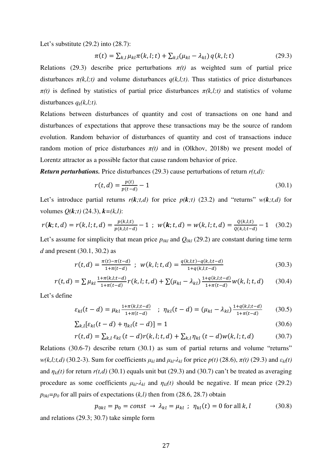Let's substitute (29.2) into (28.7):

$$
\pi(t) = \sum_{k,l} \mu_{kl} \pi(k, l; t) + \sum_{k,l} (\mu_{kl} - \lambda_{kl}) q(k, l; t)
$$
\n(29.3)

Relations (29.3) describe price perturbations  $\pi(t)$  as weighted sum of partial price disturbances  $\pi(k,l;t)$  and volume disturbances  $q(k,l;t)$ . Thus statistics of price disturbances  $\pi(t)$  is defined by statistics of partial price disturbances  $\pi(k,l;t)$  and statistics of volume disturbances  $q_k(k,l;t)$ .

Relations between disturbances of quantity and cost of transactions on one hand and disturbances of expectations that approve these transactions may be the source of random evolution. Random behavior of disturbances of quantity and cost of transactions induce random motion of price disturbances  $\pi(t)$  and in (Olkhov, 2018b) we present model of Lorentz attractor as a possible factor that cause random behavior of price.

*Return perturbations.* Price disturbances (29.3) cause perturbations of return *r(t,d):*

$$
r(t,d) = \frac{p(t)}{p(t-d)} - 1\tag{30.1}
$$

Let's introduce partial returns  $r(k; t, d)$  for price  $p(k; t)$  (23.2) and "returns"  $w(k; t, d)$  for volumes *Q(k;t)* (24.3), *k=(k,l)*:

$$
r(\mathbf{k};t,d) = r(k,l;t,d) = \frac{p(k,l;t)}{p(k,l;t-d)} - 1 \ ; \ w(\mathbf{k};t,d) = w(k,l;t,d) = \frac{Q(k,l;t)}{Q(k,l;t-d)} - 1 \quad (30.2)
$$

Let's assume for simplicity that mean price  $p_{0kl}$  and  $Q_{0kl}$  (29.2) are constant during time term *d* and present (30.1, 30.2) as

$$
r(t,d) = \frac{\pi(t) - \pi(t-d)}{1 + \pi(t-d)} \; ; \; w(k,l;t,d) = \frac{q(k,l;t) - q(k,l;t-d)}{1 + q(k,l;t-d)} \tag{30.3}
$$

$$
r(t,d) = \sum \mu_{kl} \frac{1 + \pi(k,l;t-d)}{1 + \pi(t-d)} r(k,l;t,d) + \sum (\mu_{kl} - \lambda_{kl}) \frac{1 + q(k,l;t-d)}{1 + \pi(t-d)} w(k,l;t,d) \tag{30.4}
$$

Let's define

$$
\varepsilon_{kl}(t-d) = \mu_{kl} \frac{1 + \pi(k, l; t - d)}{1 + \pi(t - d)} \quad ; \quad \eta_{kl}(t-d) = (\mu_{kl} - \lambda_{kl}) \frac{1 + q(k, l; t - d)}{1 + \pi(t - d)} \tag{30.5}
$$

$$
\sum_{k,l} \left[ \varepsilon_{kl}(t-d) + \eta_{kl}(t-d) \right] = 1 \tag{30.6}
$$

$$
r(t, d) = \sum_{k,l} \varepsilon_{kl} (t - d) r(k, l; t, d) + \sum_{k,l} \eta_{kl} (t - d) w(k, l; t, d)
$$
 (30.7)

Relations (30.6-7) describe return (30.1) as sum of partial returns and volume "returns" *w*(*k,l;t,d*) (30.2-3). Sum for coefficients  $μ_k$  and  $μ_k$ <sup>- $λ$ </sup> $_k$  for price  $p(t)$  (28.6),  $π(t)$  (29.3) and  $ε_{kl}(t)$ and  $\eta_{kl}(t)$  for return  $r(t,d)$  (30.1) equals unit but (29.3) and (30.7) can't be treated as averaging procedure as some coefficients  $\mu_{kl}$ - $\lambda_{kl}$  and  $\eta_{kl}(t)$  should be negative. If mean price (29.2)  $p_{0kl} = p_0$  for all pairs of expectations  $(k, l)$  then from (28.6, 28.7) obtain

$$
p_{0kl} = p_0 = const \rightarrow \lambda_{kl} = \mu_{kl} \; ; \; \eta_{kl}(t) = 0 \text{ for all } k, l \tag{30.8}
$$
  
and relations (29.3; 30.7) take simple form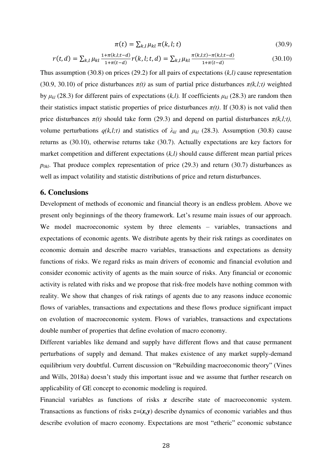$$
\pi(t) = \sum_{k,l} \mu_{kl} \pi(k,l;t) \tag{30.9}
$$

$$
r(t,d) = \sum_{k,l} \mu_{kl} \frac{1 + \pi(k,l;t-d)}{1 + \pi(t-d)} r(k,l;t,d) = \sum_{k,l} \mu_{kl} \frac{\pi(k,l;t) - \pi(k,l;t-d)}{1 + \pi(t-d)}
$$
(30.10)

Thus assumption (30.8) on prices (29.2) for all pairs of expectations (*k,l)* cause representation (30.9, 30.10) of price disturbances  $\pi(t)$  as sum of partial price disturbances  $\pi(k,l;t)$  weighted by  $\mu_{kl}$  (28.3) for different pairs of expectations (*k,l*). If coefficients  $\mu_{kl}$  (28.3) are random then their statistics impact statistic properties of price disturbances  $\pi(t)$ . If (30.8) is not valid then price disturbances  $\pi(t)$  should take form (29.3) and depend on partial disturbances  $\pi(k,l;t)$ , volume perturbations  $q(k,l;t)$  and statistics of  $\lambda_{kl}$  and  $\mu_{kl}$  (28.3). Assumption (30.8) cause returns as (30.10), otherwise returns take (30.7). Actually expectations are key factors for market competition and different expectations (*k,l)* should cause different mean partial prices  $p_{0kl}$ . That produce complex representation of price (29.3) and return (30.7) disturbances as well as impact volatility and statistic distributions of price and return disturbances.

### **6. Conclusions**

Development of methods of economic and financial theory is an endless problem. Above we present only beginnings of the theory framework. Let's resume main issues of our approach. We model macroeconomic system by three elements – variables, transactions and expectations of economic agents. We distribute agents by their risk ratings as coordinates on economic domain and describe macro variables, transactions and expectations as density functions of risks. We regard risks as main drivers of economic and financial evolution and consider economic activity of agents as the main source of risks. Any financial or economic activity is related with risks and we propose that risk-free models have nothing common with reality. We show that changes of risk ratings of agents due to any reasons induce economic flows of variables, transactions and expectations and these flows produce significant impact on evolution of macroeconomic system. Flows of variables, transactions and expectations double number of properties that define evolution of macro economy.

Different variables like demand and supply have different flows and that cause permanent perturbations of supply and demand. That makes existence of any market supply-demand equilibrium very doubtful. Current discussion on "Rebuilding macroeconomic theory" (Vines and Wills, 2018a) doesn't study this important issue and we assume that further research on applicability of GE concept to economic modeling is required.

Financial variables as functions of risks x describe state of macroeconomic system. Transactions as functions of risks  $z=(x,y)$  describe dynamics of economic variables and thus describe evolution of macro economy. Expectations are most "etheric" economic substance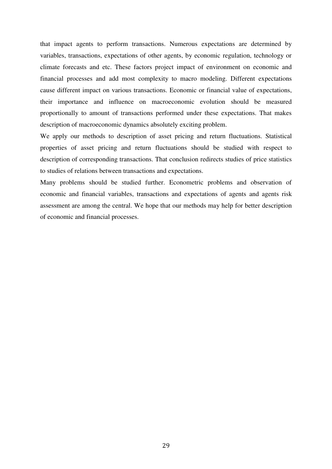that impact agents to perform transactions. Numerous expectations are determined by variables, transactions, expectations of other agents, by economic regulation, technology or climate forecasts and etc. These factors project impact of environment on economic and financial processes and add most complexity to macro modeling. Different expectations cause different impact on various transactions. Economic or financial value of expectations, their importance and influence on macroeconomic evolution should be measured proportionally to amount of transactions performed under these expectations. That makes description of macroeconomic dynamics absolutely exciting problem.

We apply our methods to description of asset pricing and return fluctuations. Statistical properties of asset pricing and return fluctuations should be studied with respect to description of corresponding transactions. That conclusion redirects studies of price statistics to studies of relations between transactions and expectations.

Many problems should be studied further. Econometric problems and observation of economic and financial variables, transactions and expectations of agents and agents risk assessment are among the central. We hope that our methods may help for better description of economic and financial processes.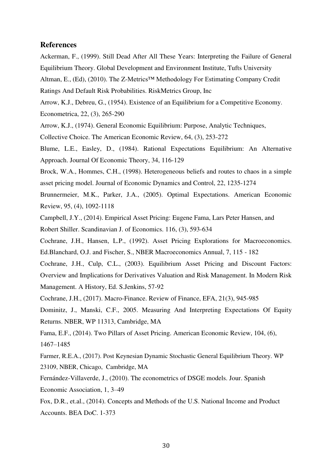### **References**

Ackerman, F., (1999). Still Dead After All These Years: Interpreting the Failure of General Equilibrium Theory. Global Development and Environment Institute, Tufts University Altman, E., (Ed), (2010). The Z-Metrics™ Methodology For Estimating Company Credit Ratings And Default Risk Probabilities. RiskMetrics Group, Inc

Arrow, K.J., Debreu, G., (1954). Existence of an Equilibrium for a Competitive Economy. Econometrica, 22, (3), 265-290

Arrow, K.J., (1974). General Economic Equilibrium: Purpose, Analytic Techniques,

Collective Choice. The American Economic Review, 64, (3), 253-272

Blume, L.E., Easley, D., (1984). Rational Expectations Equilibrium: An Alternative Approach. Journal Of Economic Theory, 34, 116-129

Brock, W.A., Hommes, C.H., (1998). Heterogeneous beliefs and routes to chaos in a simple asset pricing model. Journal of Economic Dynamics and Control, 22, 1235-1274

Brunnermeier, M.K., Parker, J.A., (2005). Optimal Expectations. American Economic Review, 95, (4), 1092-1118

Campbell, J.Y., (2014). Empirical Asset Pricing: Eugene Fama, Lars Peter Hansen, and Robert Shiller. Scandinavian J. of Economics. 116, (3), 593-634

Cochrane, J.H., Hansen, L.P., (1992). Asset Pricing Explorations for Macroeconomics. Ed.Blanchard, O.J. and Fischer, S., NBER Macroeconomics Annual, 7, 115 - 182

Cochrane, J.H., Culp, C.L., (2003). Equilibrium Asset Pricing and Discount Factors: Overview and Implications for Derivatives Valuation and Risk Management. In Modern Risk Management. A History, Ed. S.Jenkins, 57-92

Cochrane, J.H., (2017). Macro-Finance. Review of Finance, EFA, 21(3), 945-985

Dominitz, J., Manski, C.F., 2005. Measuring And Interpreting Expectations Of Equity Returns. NBER, WP 11313, Cambridge, MA

Fama, E.F., (2014). Two Pillars of Asset Pricing. American Economic Review, 104, (6), 1467–1485

Farmer, R.E.A., (2017). Post Keynesian Dynamic Stochastic General Equilibrium Theory. WP 23109, NBER, Chicago, Cambridge, MA

Fernández-Villaverde, J., (2010). The econometrics of DSGE models. Jour. Spanish Economic Association, 1, 3–49

Fox, D.R., et.al., (2014). Concepts and Methods of the U.S. National Income and Product Accounts. BEA DoC. 1-373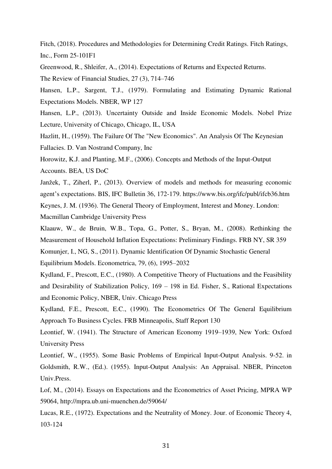Fitch, (2018). Procedures and Methodologies for Determining Credit Ratings. Fitch Ratings, Inc., Form 25-101F1

Greenwood, R., Shleifer, A., (2014). Expectations of Returns and Expected Returns.

The Review of Financial Studies, 27 (3), 714–746

Hansen, L.P., Sargent, T.J., (1979). Formulating and Estimating Dynamic Rational Expectations Models. NBER, WP 127

Hansen, L.P., (2013). Uncertainty Outside and Inside Economic Models. Nobel Prize Lecture, University of Chicago, Chicago, IL, USA

Hazlitt, H., (1959). The Failure Of The "New Economics". An Analysis Of The Keynesian

Fallacies. D. Van Nostrand Company, Inc

Horowitz, K.J. and Planting, M.F., (2006). Concepts and Methods of the Input-Output Accounts. BEA, US DoC

Janžek, T., Ziherl, P., (2013). Overview of models and methods for measuring economic agent's expectations. BIS, IFC Bulletin 36, 172-179. https://www.bis.org/ifc/publ/ifcb36.htm Keynes, J. M. (1936). The General Theory of Employment, Interest and Money. London:

Macmillan Cambridge University Press

Klaauw, W., de Bruin, W.B., Topa, G., Potter, S., Bryan, M., (2008). Rethinking the Measurement of Household Inflation Expectations: Preliminary Findings. FRB NY, SR 359

Komunjer, I., NG, S., (2011). Dynamic Identification Of Dynamic Stochastic General Equilibrium Models. Econometrica, 79, (6), 1995–2032

Kydland, F., Prescott, E.C., (1980). A Competitive Theory of Fluctuations and the Feasibility and Desirability of Stabilization Policy, 169 – 198 in Ed. Fisher, S., Rational Expectations and Economic Policy, NBER, Univ. Chicago Press

Kydland, F.E., Prescott, E.C., (1990). The Econometrics Of The General Equilibrium Approach To Business Cycles. FRB Minneapolis, Staff Report 130

Leontief, W. (1941). The Structure of American Economy 1919–1939, New York: Oxford University Press

Leontief, W., (1955). Some Basic Problems of Empirical Input-Output Analysis. 9-52. in Goldsmith, R.W., (Ed.). (1955). Input-Output Analysis: An Appraisal. NBER, Princeton Univ.Press.

Lof, M., (2014). Essays on Expectations and the Econometrics of Asset Pricing, MPRA WP 59064, http://mpra.ub.uni-muenchen.de/59064/

Lucas, R.E., (1972). Expectations and the Neutrality of Money. Jour. of Economic Theory 4, 103-124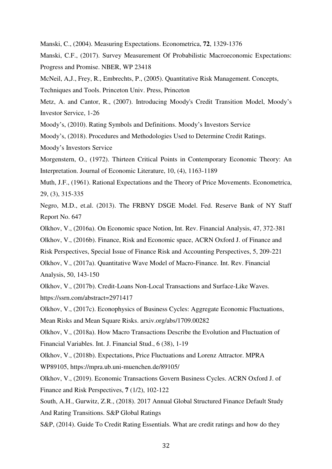Manski, C., (2004). Measuring Expectations. Econometrica, **72**, 1329-1376

Manski, C.F., (2017). Survey Measurement Of Probabilistic Macroeconomic Expectations: Progress and Promise. NBER, WP 23418

McNeil, A,J., Frey, R., Embrechts, P., (2005). Quantitative Risk Management. Concepts,

Techniques and Tools. Princeton Univ. Press, Princeton

Metz, A. and Cantor, R., (2007). Introducing Moody's Credit Transition Model, Moody's Investor Service, 1-26

Moody's, (2010). Rating Symbols and Definitions. Moody's Investors Service

Moody's, (2018). Procedures and Methodologies Used to Determine Credit Ratings.

Moody's Investors Service

Morgenstern, O., (1972). Thirteen Critical Points in Contemporary Economic Theory: An Interpretation. Journal of Economic Literature, 10, (4), 1163-1189

Muth, J.F., (1961). Rational Expectations and the Theory of Price Movements. Econometrica, 29, (3), 315-335

Negro, M.D., et.al. (2013). The FRBNY DSGE Model. Fed. Reserve Bank of NY Staff Report No. 647

Olkhov, V., (2016a). On Economic space Notion, Int. Rev. Financial Analysis, 47, 372-381

Olkhov, V., (2016b). Finance, Risk and Economic space, ACRN Oxford J. of Finance and

Risk Perspectives, Special Issue of Finance Risk and Accounting Perspectives, 5, 209-221

Olkhov, V., (2017a). Quantitative Wave Model of Macro-Finance. Int. Rev. Financial Analysis, 50, 143-150

Olkhov, V., (2017b). Credit-Loans Non-Local Transactions and Surface-Like Waves. https://ssrn.com/abstract=2971417

Olkhov, V., (2017c). Econophysics of Business Cycles: Aggregate Economic Fluctuations, Mean Risks and Mean Square Risks. arxiv.org/abs/1709.00282

Olkhov, V., (2018a). How Macro Transactions Describe the Evolution and Fluctuation of Financial Variables. Int. J. Financial Stud., 6 (38), 1-19

Olkhov, V., (2018b). Expectations, Price Fluctuations and Lorenz Attractor. MPRA WP89105, https://mpra.ub.uni-muenchen.de/89105/

Olkhov, V., (2019). Economic Transactions Govern Business Cycles. ACRN Oxford J. of Finance and Risk Perspectives, **7** (1/2), 102-122

South, A.H., Gurwitz, Z.R., (2018). 2017 Annual Global Structured Finance Default Study And Rating Transitions. S&P Global Ratings

S&P, (2014). Guide To Credit Rating Essentials. What are credit ratings and how do they